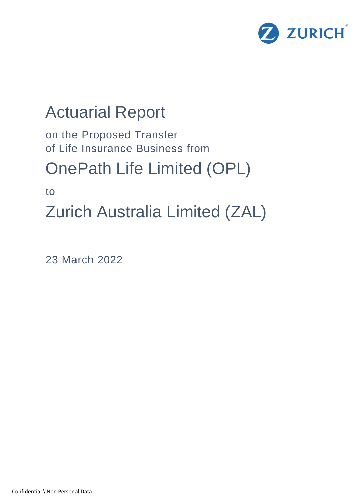

# Actuarial Report

on the Proposed Transfer of Life Insurance Business from

# OnePath Life Limited (OPL)

to

Zurich Australia Limited (ZAL)

23 March 2022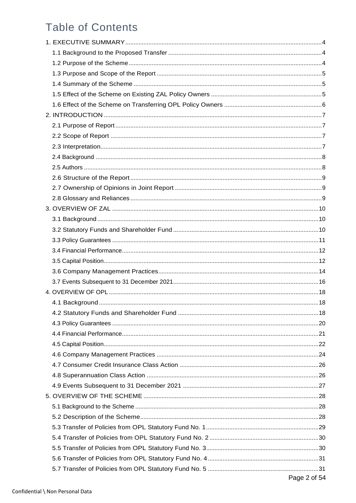# **Table of Contents**

| Page 2 of 54 |
|--------------|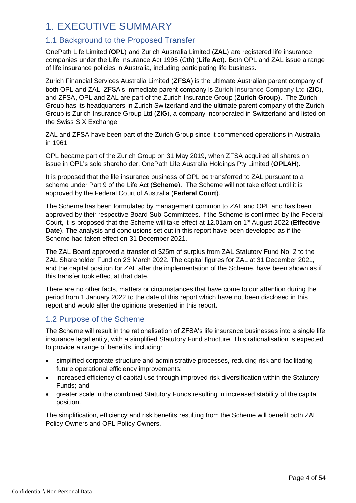# <span id="page-3-0"></span>1. EXECUTIVE SUMMARY

# <span id="page-3-1"></span>1.1 Background to the Proposed Transfer

OnePath Life Limited (**OPL**) and Zurich Australia Limited (**ZAL**) are registered life insurance companies under the Life Insurance Act 1995 (Cth) (**Life Act**). Both OPL and ZAL issue a range of life insurance policies in Australia, including participating life business.

Zurich Financial Services Australia Limited (**ZFSA**) is the ultimate Australian parent company of both OPL and ZAL. ZFSA's immediate parent company is Zurich Insurance Company Ltd (**ZIC**), and ZFSA, OPL and ZAL are part of the Zurich Insurance Group (**Zurich Group**). The Zurich Group has its headquarters in Zurich Switzerland and the ultimate parent company of the Zurich Group is Zurich Insurance Group Ltd (**ZIG**), a company incorporated in Switzerland and listed on the Swiss SIX Exchange.

ZAL and ZFSA have been part of the Zurich Group since it commenced operations in Australia in 1961.

OPL became part of the Zurich Group on 31 May 2019, when ZFSA acquired all shares on issue in OPL's sole shareholder, OnePath Life Australia Holdings Pty Limited (**OPLAH**).

It is proposed that the life insurance business of OPL be transferred to ZAL pursuant to a scheme under Part 9 of the Life Act (**Scheme**). The Scheme will not take effect until it is approved by the Federal Court of Australia (**Federal Court**).

The Scheme has been formulated by management common to ZAL and OPL and has been approved by their respective Board Sub-Committees. If the Scheme is confirmed by the Federal Court, it is proposed that the Scheme will take effect at 12.01am on 1 st August 2022 (**Effective Date**). The analysis and conclusions set out in this report have been developed as if the Scheme had taken effect on 31 December 2021.

The ZAL Board approved a transfer of \$25m of surplus from ZAL Statutory Fund No. 2 to the ZAL Shareholder Fund on 23 March 2022. The capital figures for ZAL at 31 December 2021, and the capital position for ZAL after the implementation of the Scheme, have been shown as if this transfer took effect at that date.

There are no other facts, matters or circumstances that have come to our attention during the period from 1 January 2022 to the date of this report which have not been disclosed in this report and would alter the opinions presented in this report.

# <span id="page-3-2"></span>1.2 Purpose of the Scheme

The Scheme will result in the rationalisation of ZFSA's life insurance businesses into a single life insurance legal entity, with a simplified Statutory Fund structure. This rationalisation is expected to provide a range of benefits, including:

- simplified corporate structure and administrative processes, reducing risk and facilitating future operational efficiency improvements;
- increased efficiency of capital use through improved risk diversification within the Statutory Funds; and
- greater scale in the combined Statutory Funds resulting in increased stability of the capital position.

<span id="page-3-3"></span>The simplification, efficiency and risk benefits resulting from the Scheme will benefit both ZAL Policy Owners and OPL Policy Owners.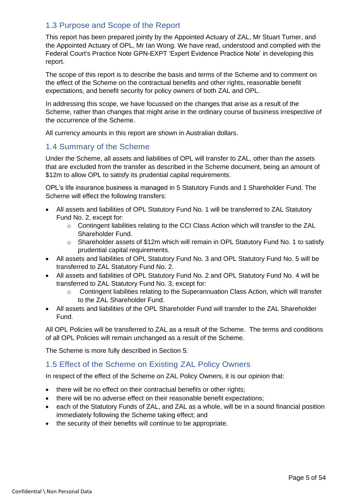# 1.3 Purpose and Scope of the Report

This report has been prepared jointly by the Appointed Actuary of ZAL, Mr Stuart Turner, and the Appointed Actuary of OPL, Mr Ian Wong. We have read, understood and complied with the Federal Court's Practice Note GPN-EXPT 'Expert Evidence Practice Note' in developing this report.

The scope of this report is to describe the basis and terms of the Scheme and to comment on the effect of the Scheme on the contractual benefits and other rights, reasonable benefit expectations, and benefit security for policy owners of both ZAL and OPL.

In addressing this scope, we have focussed on the changes that arise as a result of the Scheme, rather than changes that might arise in the ordinary course of business irrespective of the occurrence of the Scheme.

All currency amounts in this report are shown in Australian dollars.

#### <span id="page-4-0"></span>1.4 Summary of the Scheme

Under the Scheme, all assets and liabilities of OPL will transfer to ZAL, other than the assets that are excluded from the transfer as described in the Scheme document, being an amount of \$12m to allow OPL to satisfy its prudential capital requirements.

OPL's life insurance business is managed in 5 Statutory Funds and 1 Shareholder Fund. The Scheme will effect the following transfers:

- All assets and liabilities of OPL Statutory Fund No. 1 will be transferred to ZAL Statutory Fund No. 2, except for:
	- o Contingent liabilities relating to the CCI Class Action which will transfer to the ZAL Shareholder Fund.
	- o Shareholder assets of \$12m which will remain in OPL Statutory Fund No. 1 to satisfy prudential capital requirements.
- All assets and liabilities of OPL Statutory Fund No. 3 and OPL Statutory Fund No. 5 will be transferred to ZAL Statutory Fund No. 2.
- All assets and liabilities of OPL Statutory Fund No. 2 and OPL Statutory Fund No. 4 will be transferred to ZAL Statutory Fund No. 3, except for:
	- o Contingent liabilities relating to the Superannuation Class Action, which will transfer to the ZAL Shareholder Fund.
- All assets and liabilities of the OPL Shareholder Fund will transfer to the ZAL Shareholder Fund.

All OPL Policies will be transferred to ZAL as a result of the Scheme. The terms and conditions of all OPL Policies will remain unchanged as a result of the Scheme.

The Scheme is more fully described in Section [5.](#page-27-0)

# <span id="page-4-1"></span>1.5 Effect of the Scheme on Existing ZAL Policy Owners

In respect of the effect of the Scheme on ZAL Policy Owners, it is our opinion that:

- there will be no effect on their contractual benefits or other rights;
- there will be no adverse effect on their reasonable benefit expectations;
- each of the Statutory Funds of ZAL, and ZAL as a whole, will be in a sound financial position immediately following the Scheme taking effect; and
- <span id="page-4-2"></span>the security of their benefits will continue to be appropriate.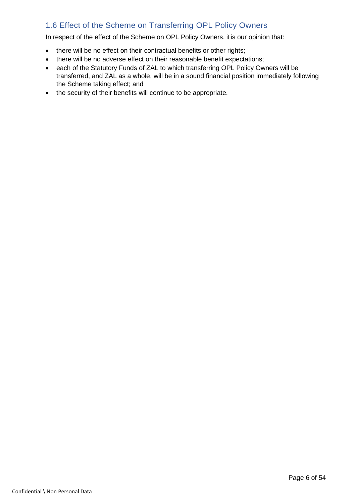# 1.6 Effect of the Scheme on Transferring OPL Policy Owners

In respect of the effect of the Scheme on OPL Policy Owners, it is our opinion that:

- there will be no effect on their contractual benefits or other rights;
- there will be no adverse effect on their reasonable benefit expectations;
- each of the Statutory Funds of ZAL to which transferring OPL Policy Owners will be transferred, and ZAL as a whole, will be in a sound financial position immediately following the Scheme taking effect; and
- the security of their benefits will continue to be appropriate.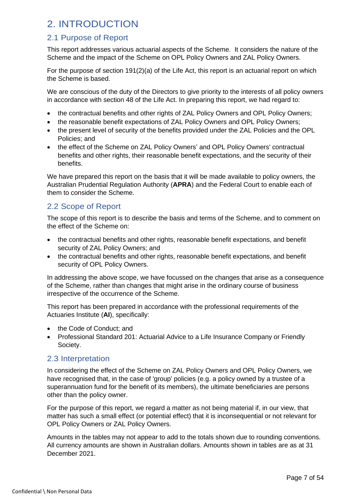# <span id="page-6-0"></span>2. INTRODUCTION

# <span id="page-6-1"></span>2.1 Purpose of Report

This report addresses various actuarial aspects of the Scheme. It considers the nature of the Scheme and the impact of the Scheme on OPL Policy Owners and ZAL Policy Owners.

For the purpose of section 191(2)(a) of the Life Act, this report is an actuarial report on which the Scheme is based.

We are conscious of the duty of the Directors to give priority to the interests of all policy owners in accordance with section 48 of the Life Act. In preparing this report, we had regard to:

- the contractual benefits and other rights of ZAL Policy Owners and OPL Policy Owners;
- the reasonable benefit expectations of ZAL Policy Owners and OPL Policy Owners;
- the present level of security of the benefits provided under the ZAL Policies and the OPL Policies; and
- the effect of the Scheme on ZAL Policy Owners' and OPL Policy Owners' contractual benefits and other rights, their reasonable benefit expectations, and the security of their benefits.

We have prepared this report on the basis that it will be made available to policy owners, the Australian Prudential Regulation Authority (**APRA**) and the Federal Court to enable each of them to consider the Scheme.

# <span id="page-6-2"></span>2.2 Scope of Report

The scope of this report is to describe the basis and terms of the Scheme, and to comment on the effect of the Scheme on:

- the contractual benefits and other rights, reasonable benefit expectations, and benefit security of ZAL Policy Owners; and
- the contractual benefits and other rights, reasonable benefit expectations, and benefit security of OPL Policy Owners.

In addressing the above scope, we have focussed on the changes that arise as a consequence of the Scheme, rather than changes that might arise in the ordinary course of business irrespective of the occurrence of the Scheme.

This report has been prepared in accordance with the professional requirements of the Actuaries Institute (**AI**), specifically:

- the Code of Conduct; and
- Professional Standard 201: Actuarial Advice to a Life Insurance Company or Friendly Society.

# <span id="page-6-3"></span>2.3 Interpretation

In considering the effect of the Scheme on ZAL Policy Owners and OPL Policy Owners, we have recognised that, in the case of 'group' policies (e.g. a policy owned by a trustee of a superannuation fund for the benefit of its members), the ultimate beneficiaries are persons other than the policy owner.

For the purpose of this report, we regard a matter as not being material if, in our view, that matter has such a small effect (or potential effect) that it is inconsequential or not relevant for OPL Policy Owners or ZAL Policy Owners.

Amounts in the tables may not appear to add to the totals shown due to rounding conventions. All currency amounts are shown in Australian dollars. Amounts shown in tables are as at 31 December 2021.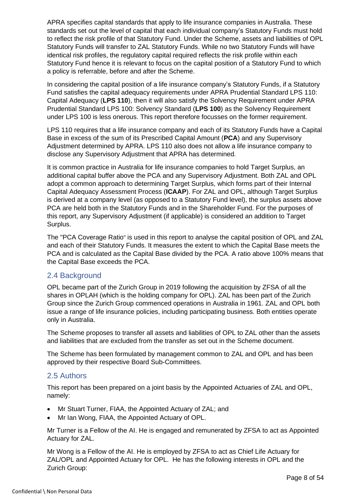APRA specifies capital standards that apply to life insurance companies in Australia. These standards set out the level of capital that each individual company's Statutory Funds must hold to reflect the risk profile of that Statutory Fund. Under the Scheme, assets and liabilities of OPL Statutory Funds will transfer to ZAL Statutory Funds. While no two Statutory Funds will have identical risk profiles, the regulatory capital required reflects the risk profile within each Statutory Fund hence it is relevant to focus on the capital position of a Statutory Fund to which a policy is referrable, before and after the Scheme.

In considering the capital position of a life insurance company's Statutory Funds, if a Statutory Fund satisfies the capital adequacy requirements under APRA Prudential Standard LPS 110: Capital Adequacy (**LPS 110**), then it will also satisfy the Solvency Requirement under APRA Prudential Standard LPS 100: Solvency Standard (**LPS 100**) as the Solvency Requirement under LPS 100 is less onerous. This report therefore focusses on the former requirement.

LPS 110 requires that a life insurance company and each of its Statutory Funds have a Capital Base in excess of the sum of its Prescribed Capital Amount (**PCA**) and any Supervisory Adjustment determined by APRA. LPS 110 also does not allow a life insurance company to disclose any Supervisory Adjustment that APRA has determined.

It is common practice in Australia for life insurance companies to hold Target Surplus, an additional capital buffer above the PCA and any Supervisory Adjustment. Both ZAL and OPL adopt a common approach to determining Target Surplus, which forms part of their Internal Capital Adequacy Assessment Process (**ICAAP**). For ZAL and OPL, although Target Surplus is derived at a company level (as opposed to a Statutory Fund level), the surplus assets above PCA are held both in the Statutory Funds and in the Shareholder Fund. For the purposes of this report, any Supervisory Adjustment (if applicable) is considered an addition to Target Surplus.

The "PCA Coverage Ratio" is used in this report to analyse the capital position of OPL and ZAL and each of their Statutory Funds. It measures the extent to which the Capital Base meets the PCA and is calculated as the Capital Base divided by the PCA. A ratio above 100% means that the Capital Base exceeds the PCA.

# <span id="page-7-0"></span>2.4 Background

OPL became part of the Zurich Group in 2019 following the acquisition by ZFSA of all the shares in OPLAH (which is the holding company for OPL). ZAL has been part of the Zurich Group since the Zurich Group commenced operations in Australia in 1961. ZAL and OPL both issue a range of life insurance policies, including participating business. Both entities operate only in Australia.

The Scheme proposes to transfer all assets and liabilities of OPL to ZAL other than the assets and liabilities that are excluded from the transfer as set out in the Scheme document.

The Scheme has been formulated by management common to ZAL and OPL and has been approved by their respective Board Sub-Committees.

# <span id="page-7-1"></span>2.5 Authors

This report has been prepared on a joint basis by the Appointed Actuaries of ZAL and OPL, namely:

- Mr Stuart Turner, FIAA, the Appointed Actuary of ZAL; and
- Mr Ian Wong, FIAA, the Appointed Actuary of OPL.

Mr Turner is a Fellow of the AI. He is engaged and remunerated by ZFSA to act as Appointed Actuary for ZAL.

Mr Wong is a Fellow of the AI. He is employed by ZFSA to act as Chief Life Actuary for ZAL/OPL and Appointed Actuary for OPL. He has the following interests in OPL and the Zurich Group: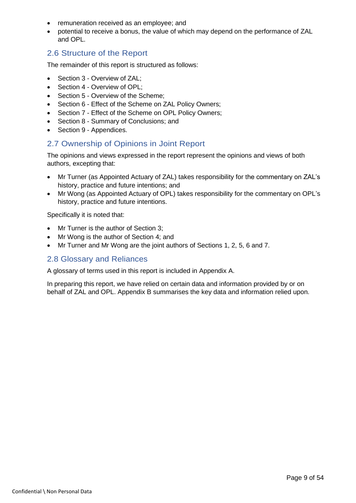- remuneration received as an employee; and
- potential to receive a bonus, the value of which may depend on the performance of ZAL and OPL.

#### <span id="page-8-0"></span>2.6 Structure of the Report

The remainder of this report is structured as follows:

- Section [3](#page-9-0) Overview of ZAL;
- Section [4](#page-17-0) Overview of OPL;
- Section [5](#page-27-0) Overview of the Scheme;
- Section [6](#page-35-0) Effect of the Scheme on ZAL Policy Owners;
- Section [7](#page-41-0) Effect of the Scheme on OPL Policy Owners;
- Section [8](#page-47-0) Summary of Conclusions; and
- Section [9](#page-49-0) Appendices.

#### <span id="page-8-1"></span>2.7 Ownership of Opinions in Joint Report

The opinions and views expressed in the report represent the opinions and views of both authors, excepting that:

- Mr Turner (as Appointed Actuary of ZAL) takes responsibility for the commentary on ZAL's history, practice and future intentions; and
- Mr Wong (as Appointed Actuary of OPL) takes responsibility for the commentary on OPL's history, practice and future intentions.

Specifically it is noted that:

- Mr Turner is the author of Section [3;](#page-9-0)
- Mr Wong is the author of Section [4;](#page-17-0) and
- Mr Turner and Mr Wong are the joint authors of Sections 1, 2, 5, 6 and 7.

#### <span id="page-8-2"></span>2.8 Glossary and Reliances

A glossary of terms used in this report is included in [Appendix A.](#page-49-1)

In preparing this report, we have relied on certain data and information provided by or on behalf of ZAL and OPL. [Appendix B](#page-52-0) summarises the key data and information relied upon.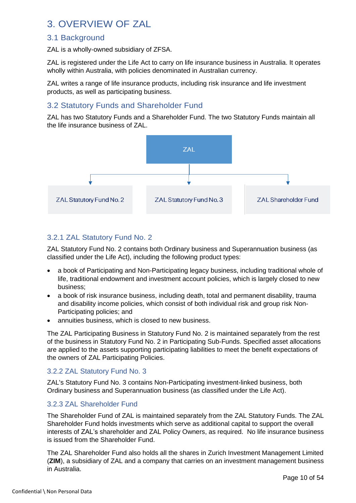# <span id="page-9-0"></span>3. OVERVIEW OF ZAL

# <span id="page-9-1"></span>3.1 Background

ZAL is a wholly-owned subsidiary of ZFSA.

ZAL is registered under the Life Act to carry on life insurance business in Australia. It operates wholly within Australia, with policies denominated in Australian currency.

ZAL writes a range of life insurance products, including risk insurance and life investment products, as well as participating business.

# <span id="page-9-2"></span>3.2 Statutory Funds and Shareholder Fund

ZAL has two Statutory Funds and a Shareholder Fund. The two Statutory Funds maintain all the life insurance business of ZAL.



#### 3.2.1 ZAL Statutory Fund No. 2

ZAL Statutory Fund No. 2 contains both Ordinary business and Superannuation business (as classified under the Life Act), including the following product types:

- a book of Participating and Non-Participating legacy business, including traditional whole of life, traditional endowment and investment account policies, which is largely closed to new business;
- a book of risk insurance business, including death, total and permanent disability, trauma and disability income policies, which consist of both individual risk and group risk Non-Participating policies; and
- annuities business, which is closed to new business.

The ZAL Participating Business in Statutory Fund No. 2 is maintained separately from the rest of the business in Statutory Fund No. 2 in Participating Sub-Funds. Specified asset allocations are applied to the assets supporting participating liabilities to meet the benefit expectations of the owners of ZAL Participating Policies.

#### 3.2.2 ZAL Statutory Fund No. 3

ZAL's Statutory Fund No. 3 contains Non-Participating investment-linked business, both Ordinary business and Superannuation business (as classified under the Life Act).

#### 3.2.3 ZAL Shareholder Fund

The Shareholder Fund of ZAL is maintained separately from the ZAL Statutory Funds. The ZAL Shareholder Fund holds investments which serve as additional capital to support the overall interests of ZAL's shareholder and ZAL Policy Owners, as required. No life insurance business is issued from the Shareholder Fund.

The ZAL Shareholder Fund also holds all the shares in Zurich Investment Management Limited (**ZIM**), a subsidiary of ZAL and a company that carries on an investment management business in Australia.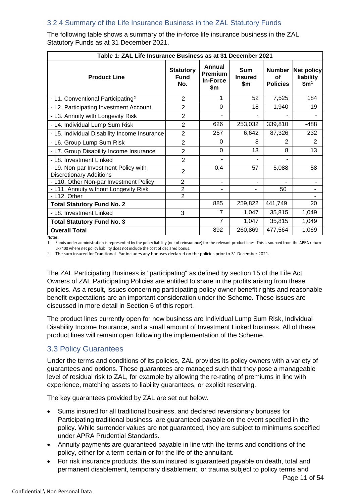# 3.2.4 Summary of the Life Insurance Business in the ZAL Statutory Funds

| Table 1: ZAL Life Insurance Business as at 31 December 2021            |                                        |                                             |                                     |                                        |                                                    |  |  |  |  |
|------------------------------------------------------------------------|----------------------------------------|---------------------------------------------|-------------------------------------|----------------------------------------|----------------------------------------------------|--|--|--|--|
| <b>Product Line</b>                                                    | <b>Statutory</b><br><b>Fund</b><br>No. | Annual<br>Premium<br><b>In-Force</b><br>\$m | <b>Sum</b><br><b>Insured</b><br>\$m | <b>Number</b><br>Οf<br><b>Policies</b> | <b>Net policy</b><br>liability<br>\$m <sup>1</sup> |  |  |  |  |
| - L1. Conventional Participating <sup>2</sup>                          | 2                                      | 1                                           | 52                                  | 7,525                                  | 184                                                |  |  |  |  |
| - L2. Participating Investment Account                                 | $\overline{2}$                         | 0                                           | 18                                  | 1,940                                  | 19                                                 |  |  |  |  |
| - L3. Annuity with Longevity Risk                                      | $\overline{2}$                         |                                             |                                     |                                        |                                                    |  |  |  |  |
| - L4. Individual Lump Sum Risk                                         | $\overline{2}$                         | 626                                         | 253,032                             | 339,810                                | -488                                               |  |  |  |  |
| - L5. Individual Disability Income Insurance                           | $\overline{2}$                         | 257                                         | 6,642                               | 87,326                                 | 232                                                |  |  |  |  |
| - L6. Group Lump Sum Risk                                              | $\overline{2}$                         | 0                                           | 8                                   | $\mathbf{2}$                           | $\mathbf{2}$                                       |  |  |  |  |
| - L7. Group Disability Income Insurance                                | $\overline{2}$                         | $\Omega$                                    | 13                                  | 8                                      | 13                                                 |  |  |  |  |
| - L8. Investment Linked                                                | 2                                      | $\blacksquare$                              | ۰                                   | ٠                                      |                                                    |  |  |  |  |
| - L9. Non-par Investment Policy with<br><b>Discretionary Additions</b> | $\overline{2}$                         | 0.4                                         | 57                                  | 5,088                                  | 58                                                 |  |  |  |  |
| - L10. Other Non-par Investment Policy                                 | $\overline{2}$                         | ٠                                           |                                     |                                        |                                                    |  |  |  |  |
| - L11. Annuity without Longevity Risk                                  | $\overline{2}$                         | ۰                                           |                                     | 50                                     |                                                    |  |  |  |  |
| - L12. Other                                                           | $\overline{2}$                         |                                             |                                     |                                        |                                                    |  |  |  |  |
| <b>Total Statutory Fund No. 2</b>                                      |                                        | 885                                         | 259,822                             | 441,749                                | 20                                                 |  |  |  |  |
| - L8. Investment Linked                                                | 3                                      | 7                                           | 1,047                               | 35,815                                 | 1,049                                              |  |  |  |  |
| <b>Total Statutory Fund No. 3</b>                                      |                                        | 7                                           | 1,047                               | 35,815                                 | 1,049                                              |  |  |  |  |
| <b>Overall Total</b>                                                   |                                        | 892                                         | 260,869                             | 477,564                                | 1,069                                              |  |  |  |  |

The following table shows a summary of the in-force life insurance business in the ZAL Statutory Funds as at 31 December 2021.

Notes.

1. Funds under administration is represented by the policy liability (net of reinsurance) for the relevant product lines. This is sourced from the APRA return LRF400 where net policy liability does not include the cost of declared bonus.

2. The sum insured for Traditional- Par includes any bonuses declared on the policies prior to 31 December 2021.

The ZAL Participating Business is "participating" as defined by section 15 of the Life Act. Owners of ZAL Participating Policies are entitled to share in the profits arising from these policies. As a result, issues concerning participating policy owner benefit rights and reasonable benefit expectations are an important consideration under the Scheme. These issues are discussed in more detail in Section [6](#page-35-0) of this report.

The product lines currently open for new business are Individual Lump Sum Risk, Individual Disability Income Insurance, and a small amount of Investment Linked business. All of these product lines will remain open following the implementation of the Scheme.

# <span id="page-10-0"></span>3.3 Policy Guarantees

Under the terms and conditions of its policies, ZAL provides its policy owners with a variety of guarantees and options. These guarantees are managed such that they pose a manageable level of residual risk to ZAL, for example by allowing the re-rating of premiums in line with experience, matching assets to liability guarantees, or explicit reserving.

The key guarantees provided by ZAL are set out below.

- Sums insured for all traditional business, and declared reversionary bonuses for Participating traditional business, are guaranteed payable on the event specified in the policy. While surrender values are not guaranteed, they are subject to minimums specified under APRA Prudential Standards.
- Annuity payments are guaranteed payable in line with the terms and conditions of the policy, either for a term certain or for the life of the annuitant.
- For risk insurance products, the sum insured is guaranteed payable on death, total and permanent disablement, temporary disablement, or trauma subject to policy terms and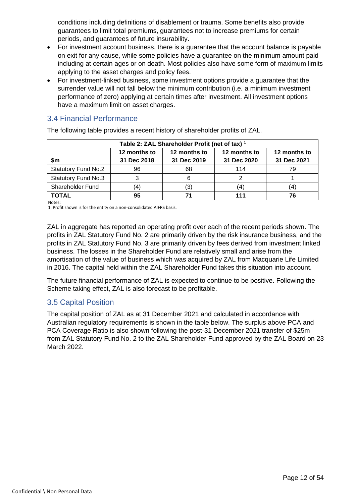conditions including definitions of disablement or trauma. Some benefits also provide guarantees to limit total premiums, guarantees not to increase premiums for certain periods, and guarantees of future insurability.

- For investment account business, there is a guarantee that the account balance is payable on exit for any cause, while some policies have a guarantee on the minimum amount paid including at certain ages or on death. Most policies also have some form of maximum limits applying to the asset charges and policy fees.
- For investment-linked business, some investment options provide a guarantee that the surrender value will not fall below the minimum contribution (i.e. a minimum investment performance of zero) applying at certain times after investment. All investment options have a maximum limit on asset charges.

# <span id="page-11-0"></span>3.4 Financial Performance

The following table provides a recent history of shareholder profits of ZAL.

| Table 2: ZAL Shareholder Profit (net of tax) <sup>1</sup>    |             |             |             |             |  |  |  |  |  |  |
|--------------------------------------------------------------|-------------|-------------|-------------|-------------|--|--|--|--|--|--|
| 12 months to<br>12 months to<br>12 months to<br>12 months to |             |             |             |             |  |  |  |  |  |  |
| \$m                                                          | 31 Dec 2018 | 31 Dec 2019 | 31 Dec 2020 | 31 Dec 2021 |  |  |  |  |  |  |
| <b>Statutory Fund No.2</b>                                   | 96          | 68          | 114         | 79          |  |  |  |  |  |  |
| <b>Statutory Fund No.3</b>                                   |             |             |             |             |  |  |  |  |  |  |
| Shareholder Fund                                             | 4           | '3'         | 4           | 4           |  |  |  |  |  |  |
| TOTAL                                                        | 95          |             |             | 76          |  |  |  |  |  |  |

**Notes** 

1. Profit shown is for the entity on a non-consolidated AIFRS basis.

ZAL in aggregate has reported an operating profit over each of the recent periods shown. The profits in ZAL Statutory Fund No. 2 are primarily driven by the risk insurance business, and the profits in ZAL Statutory Fund No. 3 are primarily driven by fees derived from investment linked business. The losses in the Shareholder Fund are relatively small and arise from the amortisation of the value of business which was acquired by ZAL from Macquarie Life Limited in 2016. The capital held within the ZAL Shareholder Fund takes this situation into account.

The future financial performance of ZAL is expected to continue to be positive. Following the Scheme taking effect, ZAL is also forecast to be profitable.

# <span id="page-11-1"></span>3.5 Capital Position

The capital position of ZAL as at 31 December 2021 and calculated in accordance with Australian regulatory requirements is shown in the table below. The surplus above PCA and PCA Coverage Ratio is also shown following the post-31 December 2021 transfer of \$25m from ZAL Statutory Fund No. 2 to the ZAL Shareholder Fund approved by the ZAL Board on 23 March 2022.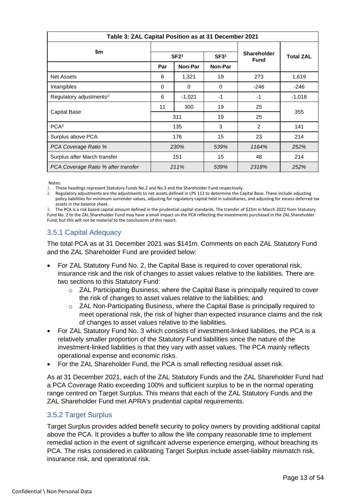| Table 3: ZAL Capital Position as at 31 December 2021 |                                      |          |          |                                   |                  |  |  |
|------------------------------------------------------|--------------------------------------|----------|----------|-----------------------------------|------------------|--|--|
| \$m                                                  | SF2 <sup>1</sup><br>SF3 <sup>1</sup> |          |          | <b>Shareholder</b><br><b>Fund</b> | <b>Total ZAL</b> |  |  |
|                                                      | Par                                  | Non-Par  |          |                                   |                  |  |  |
| <b>Net Assets</b>                                    | 6                                    | 1,321    | 19       | 273                               | 1,619            |  |  |
| Intangibles                                          | 0                                    | $\Omega$ | $\Omega$ | -246                              | -246             |  |  |
| Regulatory adjustments <sup>2</sup>                  | 6                                    | $-1,021$ | $-1$     | $-1$                              | $-1,018$         |  |  |
|                                                      | 11                                   | 300      | 19       | 25                                | 355              |  |  |
| Capital Base                                         | 311                                  |          | 19       | 25                                |                  |  |  |
| PCA <sup>3</sup>                                     |                                      | 135      | 3        | $\overline{2}$                    | 141              |  |  |
| Surplus above PCA                                    |                                      | 176      | 15       | 23                                | 214              |  |  |
| PCA Coverage Ratio %                                 | 230%                                 |          | 539%     | 1164%                             | 252%             |  |  |
| Surplus after March transfer                         | 151                                  |          | 15       | 48                                | 214              |  |  |
| PCA Coverage Ratio % after transfer                  |                                      | 211%     | 539%     | 2318%                             | 252%             |  |  |

Notes:

1. These headings represent Statutory Funds No.2 and No.3 and the Shareholder Fund respectively.

2. Regulatory adjustments are the adjustments to net assets defined in LPS 112 to determine the Capital Base. These include adjusting policy liabilities for minimum surrender values, adjusting for regulatory capital held in subsidiaries, and adjusting for excess deferred tax assets in the balance sheet.

3. The PCA is a risk based capital amount defined in the prudential capital standards. The transfer of \$25m in March 2022 from Statutory Fund No. 2 to the ZAL Shareholder Fund may have a small impact on the PCA reflecting the investments purchased in the ZAL Shareholder Fund, but this will not be material to the conclusions of this report.

#### 3.5.1 Capital Adequacy

The total PCA as at 31 December 2021 was \$141m. Comments on each ZAL Statutory Fund and the ZAL Shareholder Fund are provided below:

- For ZAL Statutory Fund No. 2, the Capital Base is required to cover operational risk, insurance risk and the risk of changes to asset values relative to the liabilities. There are two sections to this Statutory Fund:
	- o ZAL Participating Business, where the Capital Base is principally required to cover the risk of changes to asset values relative to the liabilities; and
	- $\circ$  ZAL Non-Participating Business, where the Capital Base is principally required to meet operational risk, the risk of higher than expected insurance claims and the risk of changes to asset values relative to the liabilities.
- For ZAL Statutory Fund No. 3 which consists of investment-linked liabilities, the PCA is a relatively smaller proportion of the Statutory Fund liabilities since the nature of the investment-linked liabilities is that they vary with asset values. The PCA mainly reflects operational expense and economic risks.
- For the ZAL Shareholder Fund, the PCA is small reflecting residual asset risk.

As at 31 December 2021, each of the ZAL Statutory Funds and the ZAL Shareholder Fund had a PCA Coverage Ratio exceeding 100% and sufficient surplus to be in the normal operating range centred on Target Surplus. This means that each of the ZAL Statutory Funds and the ZAL Shareholder Fund met APRA's prudential capital requirements.

#### 3.5.2 Target Surplus

Target Surplus provides added benefit security to policy owners by providing additional capital above the PCA. It provides a buffer to allow the life company reasonable time to implement remedial action in the event of significant adverse experience emerging, without breaching its PCA. The risks considered in calibrating Target Surplus include asset-liability mismatch risk, insurance risk, and operational risk.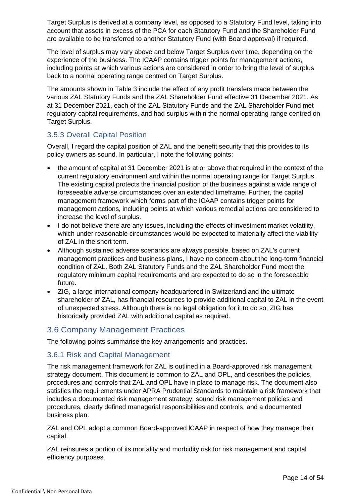Target Surplus is derived at a company level, as opposed to a Statutory Fund level, taking into account that assets in excess of the PCA for each Statutory Fund and the Shareholder Fund are available to be transferred to another Statutory Fund (with Board approval) if required.

The level of surplus may vary above and below Target Surplus over time, depending on the experience of the business. The ICAAP contains trigger points for management actions, including points at which various actions are considered in order to bring the level of surplus back to a normal operating range centred on Target Surplus.

The amounts shown in Table 3 include the effect of any profit transfers made between the various ZAL Statutory Funds and the ZAL Shareholder Fund effective 31 December 2021. As at 31 December 2021, each of the ZAL Statutory Funds and the ZAL Shareholder Fund met regulatory capital requirements, and had surplus within the normal operating range centred on Target Surplus.

#### 3.5.3 Overall Capital Position

Overall, I regard the capital position of ZAL and the benefit security that this provides to its policy owners as sound. In particular, I note the following points:

- the amount of capital at 31 December 2021 is at or above that required in the context of the current regulatory environment and within the normal operating range for Target Surplus. The existing capital protects the financial position of the business against a wide range of foreseeable adverse circumstances over an extended timeframe. Further, the capital management framework which forms part of the ICAAP contains trigger points for management actions, including points at which various remedial actions are considered to increase the level of surplus.
- I do not believe there are any issues, including the effects of investment market volatility, which under reasonable circumstances would be expected to materially affect the viability of ZAL in the short term.
- Although sustained adverse scenarios are always possible, based on ZAL's current management practices and business plans, I have no concern about the long-term financial condition of ZAL. Both ZAL Statutory Funds and the ZAL Shareholder Fund meet the regulatory minimum capital requirements and are expected to do so in the foreseeable future.
- ZIG, a large international company headquartered in Switzerland and the ultimate shareholder of ZAL, has financial resources to provide additional capital to ZAL in the event of unexpected stress. Although there is no legal obligation for it to do so, ZIG has historically provided ZAL with additional capital as required.

# <span id="page-13-0"></span>3.6 Company Management Practices

The following points summarise the key arrangements and practices.

#### 3.6.1 Risk and Capital Management

The risk management framework for ZAL is outlined in a Board-approved risk management strategy document. This document is common to ZAL and OPL, and describes the policies, procedures and controls that ZAL and OPL have in place to manage risk. The document also satisfies the requirements under APRA Prudential Standards to maintain a risk framework that includes a documented risk management strategy, sound risk management policies and procedures, clearly defined managerial responsibilities and controls, and a documented business plan.

ZAL and OPL adopt a common Board-approved lCAAP in respect of how they manage their capital.

ZAL reinsures a portion of its mortality and morbidity risk for risk management and capital efficiency purposes.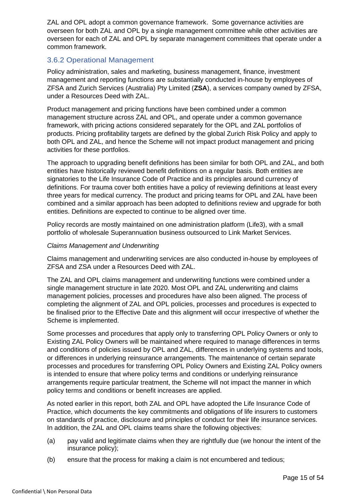ZAL and OPL adopt a common governance framework. Some governance activities are overseen for both ZAL and OPL by a single management committee while other activities are overseen for each of ZAL and OPL by separate management committees that operate under a common framework.

#### 3.6.2 Operational Management

Policy administration, sales and marketing, business management, finance, investment management and reporting functions are substantially conducted in-house by employees of ZFSA and Zurich Services (Australia) Pty Limited (**ZSA**), a services company owned by ZFSA, under a Resources Deed with ZAL.

Product management and pricing functions have been combined under a common management structure across ZAL and OPL, and operate under a common governance framework, with pricing actions considered separately for the OPL and ZAL portfolios of products. Pricing profitability targets are defined by the global Zurich Risk Policy and apply to both OPL and ZAL, and hence the Scheme will not impact product management and pricing activities for these portfolios.

The approach to upgrading benefit definitions has been similar for both OPL and ZAL, and both entities have historically reviewed benefit definitions on a regular basis. Both entities are signatories to the Life Insurance Code of Practice and its principles around currency of definitions. For trauma cover both entities have a policy of reviewing definitions at least every three years for medical currency. The product and pricing teams for OPL and ZAL have been combined and a similar approach has been adopted to definitions review and upgrade for both entities. Definitions are expected to continue to be aligned over time.

Policy records are mostly maintained on one administration platform (Life3), with a small portfolio of wholesale Superannuation business outsourced to Link Market Services.

#### *Claims Management and Underwriting*

Claims management and underwriting services are also conducted in-house by employees of ZFSA and ZSA under a Resources Deed with ZAL.

The ZAL and OPL claims management and underwriting functions were combined under a single management structure in late 2020. Most OPL and ZAL underwriting and claims management policies, processes and procedures have also been aligned. The process of completing the alignment of ZAL and OPL policies, processes and procedures is expected to be finalised prior to the Effective Date and this alignment will occur irrespective of whether the Scheme is implemented.

Some processes and procedures that apply only to transferring OPL Policy Owners or only to Existing ZAL Policy Owners will be maintained where required to manage differences in terms and conditions of policies issued by OPL and ZAL, differences in underlying systems and tools, or differences in underlying reinsurance arrangements. The maintenance of certain separate processes and procedures for transferring OPL Policy Owners and Existing ZAL Policy owners is intended to ensure that where policy terms and conditions or underlying reinsurance arrangements require particular treatment, the Scheme will not impact the manner in which policy terms and conditions or benefit increases are applied.

As noted earlier in this report, both ZAL and OPL have adopted the Life Insurance Code of Practice, which documents the key commitments and obligations of life insurers to customers on standards of practice, disclosure and principles of conduct for their life insurance services. In addition, the ZAL and OPL claims teams share the following objectives:

- (a) pay valid and legitimate claims when they are rightfully due (we honour the intent of the insurance policy);
- (b) ensure that the process for making a claim is not encumbered and tedious;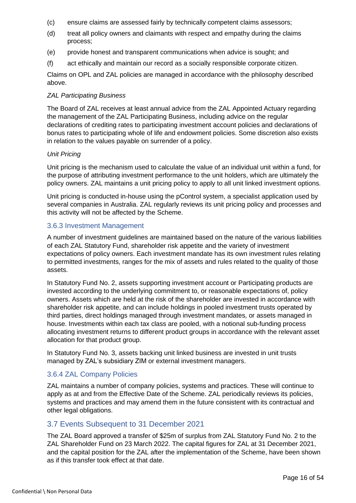- (c) ensure claims are assessed fairly by technically competent claims assessors;
- (d) treat all policy owners and claimants with respect and empathy during the claims process;
- (e) provide honest and transparent communications when advice is sought; and
- (f) act ethically and maintain our record as a socially responsible corporate citizen.

Claims on OPL and ZAL policies are managed in accordance with the philosophy described above.

#### *ZAL Participating Business*

The Board of ZAL receives at least annual advice from the ZAL Appointed Actuary regarding the management of the ZAL Participating Business, including advice on the regular declarations of crediting rates to participating investment account policies and declarations of bonus rates to participating whole of life and endowment policies. Some discretion also exists in relation to the values payable on surrender of a policy.

#### *Unit Pricing*

Unit pricing is the mechanism used to calculate the value of an individual unit within a fund, for the purpose of attributing investment performance to the unit holders, which are ultimately the policy owners. ZAL maintains a unit pricing policy to apply to all unit linked investment options.

Unit pricing is conducted in-house using the pControl system, a specialist application used by several companies in Australia. ZAL regularly reviews its unit pricing policy and processes and this activity will not be affected by the Scheme.

#### 3.6.3 Investment Management

A number of investment guidelines are maintained based on the nature of the various liabilities of each ZAL Statutory Fund, shareholder risk appetite and the variety of investment expectations of policy owners. Each investment mandate has its own investment rules relating to permitted investments, ranges for the mix of assets and rules related to the quality of those assets.

In Statutory Fund No. 2, assets supporting investment account or Participating products are invested according to the underlying commitment to, or reasonable expectations of, policy owners. Assets which are held at the risk of the shareholder are invested in accordance with shareholder risk appetite, and can include holdings in pooled investment trusts operated by third parties, direct holdings managed through investment mandates, or assets managed in house. Investments within each tax class are pooled, with a notional sub-funding process allocating investment returns to different product groups in accordance with the relevant asset allocation for that product group.

In Statutory Fund No. 3, assets backing unit linked business are invested in unit trusts managed by ZAL's subsidiary ZIM or external investment managers.

#### 3.6.4 ZAL Company Policies

ZAL maintains a number of company policies, systems and practices. These will continue to apply as at and from the Effective Date of the Scheme. ZAL periodically reviews its policies, systems and practices and may amend them in the future consistent with its contractual and other legal obligations.

#### <span id="page-15-0"></span>3.7 Events Subsequent to 31 December 2021

The ZAL Board approved a transfer of \$25m of surplus from ZAL Statutory Fund No. 2 to the ZAL Shareholder Fund on 23 March 2022. The capital figures for ZAL at 31 December 2021, and the capital position for the ZAL after the implementation of the Scheme, have been shown as if this transfer took effect at that date.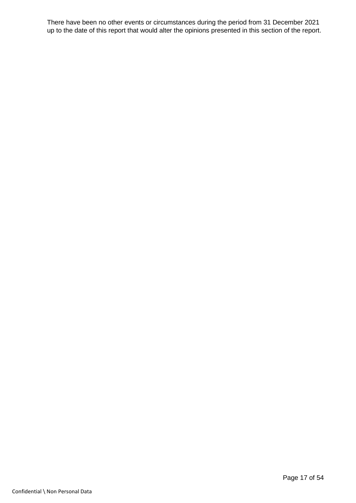There have been no other events or circumstances during the period from 31 December 2021 up to the date of this report that would alter the opinions presented in this section of the report.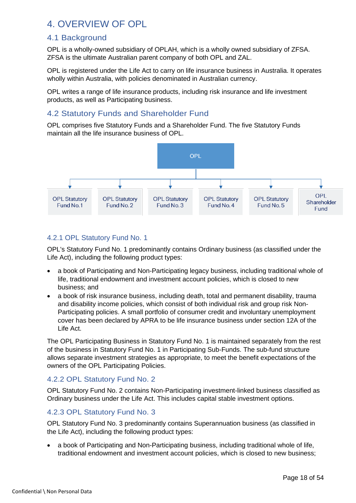# <span id="page-17-0"></span>4. OVERVIEW OF OPL

# <span id="page-17-1"></span>4.1 Background

OPL is a wholly-owned subsidiary of OPLAH, which is a wholly owned subsidiary of ZFSA. ZFSA is the ultimate Australian parent company of both OPL and ZAL.

OPL is registered under the Life Act to carry on life insurance business in Australia. It operates wholly within Australia, with policies denominated in Australian currency.

OPL writes a range of life insurance products, including risk insurance and life investment products, as well as Participating business.

# <span id="page-17-2"></span>4.2 Statutory Funds and Shareholder Fund

OPL comprises five Statutory Funds and a Shareholder Fund. The five Statutory Funds maintain all the life insurance business of OPL.



# 4.2.1 OPL Statutory Fund No. 1

OPL's Statutory Fund No. 1 predominantly contains Ordinary business (as classified under the Life Act), including the following product types:

- a book of Participating and Non-Participating legacy business, including traditional whole of life, traditional endowment and investment account policies, which is closed to new business; and
- a book of risk insurance business, including death, total and permanent disability, trauma and disability income policies, which consist of both individual risk and group risk Non-Participating policies. A small portfolio of consumer credit and involuntary unemployment cover has been declared by APRA to be life insurance business under section 12A of the Life Act.

The OPL Participating Business in Statutory Fund No. 1 is maintained separately from the rest of the business in Statutory Fund No. 1 in Participating Sub-Funds. The sub-fund structure allows separate investment strategies as appropriate, to meet the benefit expectations of the owners of the OPL Participating Policies.

# 4.2.2 OPL Statutory Fund No. 2

OPL Statutory Fund No. 2 contains Non-Participating investment-linked business classified as Ordinary business under the Life Act. This includes capital stable investment options.

# 4.2.3 OPL Statutory Fund No. 3

OPL Statutory Fund No. 3 predominantly contains Superannuation business (as classified in the Life Act), including the following product types:

• a book of Participating and Non-Participating business, including traditional whole of life, traditional endowment and investment account policies, which is closed to new business;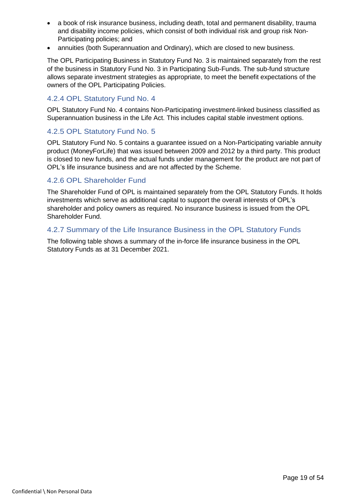- a book of risk insurance business, including death, total and permanent disability, trauma and disability income policies, which consist of both individual risk and group risk Non-Participating policies; and
- annuities (both Superannuation and Ordinary), which are closed to new business.

The OPL Participating Business in Statutory Fund No. 3 is maintained separately from the rest of the business in Statutory Fund No. 3 in Participating Sub-Funds. The sub-fund structure allows separate investment strategies as appropriate, to meet the benefit expectations of the owners of the OPL Participating Policies.

#### 4.2.4 OPL Statutory Fund No. 4

OPL Statutory Fund No. 4 contains Non-Participating investment-linked business classified as Superannuation business in the Life Act. This includes capital stable investment options.

#### 4.2.5 OPL Statutory Fund No. 5

OPL Statutory Fund No. 5 contains a guarantee issued on a Non-Participating variable annuity product (MoneyForLife) that was issued between 2009 and 2012 by a third party. This product is closed to new funds, and the actual funds under management for the product are not part of OPL's life insurance business and are not affected by the Scheme.

#### 4.2.6 OPL Shareholder Fund

The Shareholder Fund of OPL is maintained separately from the OPL Statutory Funds. It holds investments which serve as additional capital to support the overall interests of OPL's shareholder and policy owners as required. No insurance business is issued from the OPL Shareholder Fund.

#### 4.2.7 Summary of the Life Insurance Business in the OPL Statutory Funds

The following table shows a summary of the in-force life insurance business in the OPL Statutory Funds as at 31 December 2021.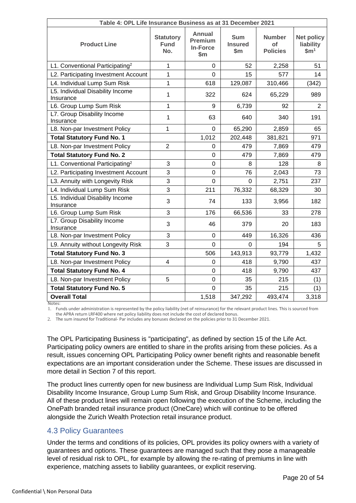| Table 4: OPL Life Insurance Business as at 31 December 2021 |                                        |                                                             |                                       |                                        |                                                    |  |  |
|-------------------------------------------------------------|----------------------------------------|-------------------------------------------------------------|---------------------------------------|----------------------------------------|----------------------------------------------------|--|--|
| <b>Product Line</b>                                         | <b>Statutory</b><br><b>Fund</b><br>No. | <b>Annual</b><br><b>Premium</b><br><b>In-Force</b><br>\$m\$ | <b>Sum</b><br><b>Insured</b><br>\$m\$ | <b>Number</b><br>of<br><b>Policies</b> | <b>Net policy</b><br>liability<br>$\mathbf{\$m}^1$ |  |  |
| L1. Conventional Participating <sup>2</sup>                 | $\mathbf{1}$                           | $\mathbf 0$                                                 | 52                                    | 2,258                                  | 51                                                 |  |  |
| L2. Participating Investment Account                        | $\mathbf{1}$                           | $\overline{0}$                                              | 15                                    | 577                                    | 14                                                 |  |  |
| L4. Individual Lump Sum Risk                                | $\mathbf{1}$                           | 618                                                         | 129,087                               | 310,466                                | (342)                                              |  |  |
| L5. Individual Disability Income<br>Insurance               | 1                                      | 322                                                         | 624                                   | 65,229                                 | 989                                                |  |  |
| L6. Group Lump Sum Risk                                     | 1                                      | 9                                                           | 6,739                                 | 92                                     | 2                                                  |  |  |
| L7. Group Disability Income<br>Insurance                    | 1                                      | 63                                                          | 640                                   | 340                                    | 191                                                |  |  |
| L8. Non-par Investment Policy                               | 1                                      | 0                                                           | 65,290                                | 2,859                                  | 65                                                 |  |  |
| <b>Total Statutory Fund No. 1</b>                           |                                        | 1,012                                                       | 202,448                               | 381,821                                | 971                                                |  |  |
| L8. Non-par Investment Policy                               | $\overline{2}$                         | 0                                                           | 479                                   | 7,869                                  | 479                                                |  |  |
| <b>Total Statutory Fund No. 2</b>                           |                                        | $\boldsymbol{0}$                                            | 479                                   | 7,869                                  | 479                                                |  |  |
| L1. Conventional Participating <sup>2</sup>                 | 3                                      | $\mathbf 0$                                                 | 8                                     | 128                                    | 8                                                  |  |  |
| L2. Participating Investment Account                        | 3                                      | $\overline{0}$                                              | 76                                    | 2,043                                  | 73                                                 |  |  |
| L3. Annuity with Longevity Risk                             | 3                                      | $\mathbf 0$                                                 | 0                                     | 2,751                                  | 237                                                |  |  |
| L4. Individual Lump Sum Risk                                | 3                                      | 211                                                         | 76,332                                | 68,329                                 | 30                                                 |  |  |
| L5. Individual Disability Income<br>Insurance               | 3                                      | 74                                                          | 133                                   | 3,956                                  | 182                                                |  |  |
| L6. Group Lump Sum Risk                                     | 3                                      | 176                                                         | 66,536                                | 33                                     | 278                                                |  |  |
| L7. Group Disability Income<br>Insurance                    | 3                                      | 46                                                          | 379                                   | 20                                     | 183                                                |  |  |
| L8. Non-par Investment Policy                               | 3                                      | 0                                                           | 449                                   | 16,326                                 | 436                                                |  |  |
| L9. Annuity without Longevity Risk                          | 3                                      | $\mathbf 0$                                                 | 0                                     | 194                                    | 5                                                  |  |  |
| <b>Total Statutory Fund No. 3</b>                           |                                        | 506                                                         | 143,913                               | 93,779                                 | 1,432                                              |  |  |
| L8. Non-par Investment Policy                               | $\overline{\mathbf{4}}$                | $\mathbf 0$                                                 | 418                                   | 9,790                                  | 437                                                |  |  |
| <b>Total Statutory Fund No. 4</b>                           |                                        | $\mathbf 0$                                                 | 418                                   | 9,790                                  | 437                                                |  |  |
| L8. Non-par Investment Policy                               | 5                                      | $\mathbf 0$                                                 | 35                                    | 215                                    | (1)                                                |  |  |
| <b>Total Statutory Fund No. 5</b>                           |                                        | $\overline{0}$                                              | 35                                    | 215                                    | (1)                                                |  |  |
| <b>Overall Total</b>                                        |                                        | 1,518                                                       | 347,292                               | 493,474                                | 3,318                                              |  |  |

Notes:

1. Funds under administration is represented by the policy liability (net of reinsurance) for the relevant product lines. This is sourced from the APRA return LRF400 where net policy liability does not include the cost of declared bonus.

2. The sum insured for Traditional- Par includes any bonuses declared on the policies prior to 31 December 2021.

The OPL Participating Business is "participating", as defined by section 15 of the Life Act. Participating policy owners are entitled to share in the profits arising from these policies. As a result, issues concerning OPL Participating Policy owner benefit rights and reasonable benefit expectations are an important consideration under the Scheme. These issues are discussed in more detail in Section [7](#page-41-0) of this report.

The product lines currently open for new business are Individual Lump Sum Risk, Individual Disability Income Insurance, Group Lump Sum Risk, and Group Disability Income Insurance. All of these product lines will remain open following the execution of the Scheme, including the OnePath branded retail insurance product (OneCare) which will continue to be offered alongside the Zurich Wealth Protection retail insurance product.

#### <span id="page-19-0"></span>4.3 Policy Guarantees

Under the terms and conditions of its policies, OPL provides its policy owners with a variety of guarantees and options. These guarantees are managed such that they pose a manageable level of residual risk to OPL, for example by allowing the re-rating of premiums in line with experience, matching assets to liability guarantees, or explicit reserving.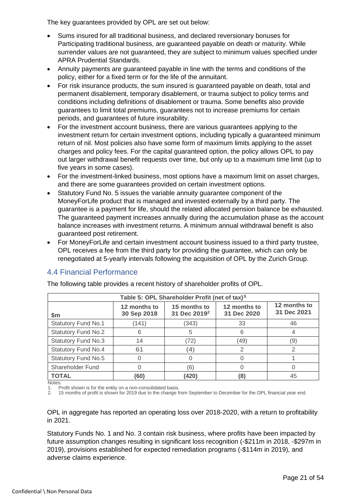The key guarantees provided by OPL are set out below:

- Sums insured for all traditional business, and declared reversionary bonuses for Participating traditional business, are guaranteed payable on death or maturity. While surrender values are not guaranteed, they are subject to minimum values specified under APRA Prudential Standards.
- Annuity payments are guaranteed payable in line with the terms and conditions of the policy, either for a fixed term or for the life of the annuitant.
- For risk insurance products, the sum insured is guaranteed payable on death, total and permanent disablement, temporary disablement, or trauma subject to policy terms and conditions including definitions of disablement or trauma. Some benefits also provide guarantees to limit total premiums, guarantees not to increase premiums for certain periods, and guarantees of future insurability.
- For the investment account business, there are various guarantees applying to the investment return for certain investment options, including typically a guaranteed minimum return of nil. Most policies also have some form of maximum limits applying to the asset charges and policy fees. For the capital guaranteed option, the policy allows OPL to pay out larger withdrawal benefit requests over time, but only up to a maximum time limit (up to five years in some cases).
- For the investment-linked business, most options have a maximum limit on asset charges, and there are some guarantees provided on certain investment options.
- Statutory Fund No. 5 issues the variable annuity guarantee component of the MoneyForLife product that is managed and invested externally by a third party. The guarantee is a payment for life, should the related allocated pension balance be exhausted. The guaranteed payment increases annually during the accumulation phase as the account balance increases with investment returns. A minimum annual withdrawal benefit is also guaranteed post retirement.
- For MoneyForLife and certain investment account business issued to a third party trustee, OPL receives a fee from the third party for providing the guarantee, which can only be renegotiated at 5-yearly intervals following the acquisition of OPL by the Zurich Group.

# <span id="page-20-0"></span>4.4 Financial Performance

| Table 5: OPL Shareholder Profit (net of tax) <sup>1</sup> |                             |                                          |                             |                             |  |  |  |  |  |
|-----------------------------------------------------------|-----------------------------|------------------------------------------|-----------------------------|-----------------------------|--|--|--|--|--|
| \$m                                                       | 12 months to<br>30 Sep 2018 | 15 months to<br>31 Dec 2019 <sup>2</sup> | 12 months to<br>31 Dec 2020 | 12 months to<br>31 Dec 2021 |  |  |  |  |  |
| <b>Statutory Fund No.1</b>                                | (141)                       | (343)                                    | 33                          | 46                          |  |  |  |  |  |
| <b>Statutory Fund No.2</b>                                |                             | 5                                        | 6                           |                             |  |  |  |  |  |
| <b>Statutory Fund No.3</b>                                | 14                          | (72)                                     | (49)                        | (9)                         |  |  |  |  |  |
| <b>Statutory Fund No.4</b>                                | 61                          | (4)                                      |                             | 2                           |  |  |  |  |  |
| <b>Statutory Fund No.5</b>                                |                             |                                          | Ω                           |                             |  |  |  |  |  |
| Shareholder Fund                                          |                             | (6)                                      |                             |                             |  |  |  |  |  |
| <b>TOTAL</b>                                              | (60)                        | (420)                                    | (8)                         | 45                          |  |  |  |  |  |
| Notes:                                                    |                             |                                          |                             |                             |  |  |  |  |  |

The following table provides a recent history of shareholder profits of OPL.

1. Profit shown is for the entity on a non-consolidated basis.

2. 15 months of profit is shown for 2019 due to the change from September to December for the OPL financial year end.

OPL in aggregate has reported an operating loss over 2018-2020, with a return to profitability in 2021.

Statutory Funds No. 1 and No. 3 contain risk business, where profits have been impacted by future assumption changes resulting in significant loss recognition (-\$211m in 2018, -\$297m in 2019), provisions established for expected remediation programs (-\$114m in 2019), and adverse claims experience.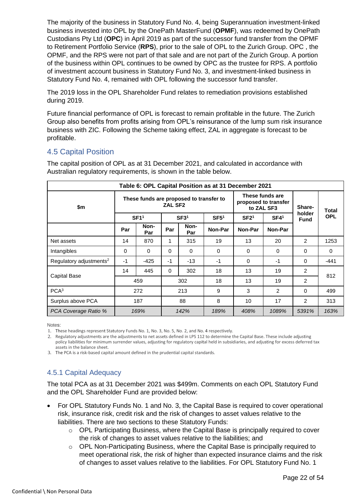The majority of the business in Statutory Fund No. 4, being Superannuation investment-linked business invested into OPL by the OnePath MasterFund (**OPMF**), was redeemed by OnePath Custodians Pty Ltd (**OPC**) in April 2019 as part of the successor fund transfer from the OPMF to Retirement Portfolio Service (**RPS**), prior to the sale of OPL to the Zurich Group. OPC , the OPMF, and the RPS were not part of that sale and are not part of the Zurich Group. A portion of the business within OPL continues to be owned by OPC as the trustee for RPS. A portfolio of investment account business in Statutory Fund No. 3, and investment-linked business in Statutory Fund No. 4, remained with OPL following the successor fund transfer.

The 2019 loss in the OPL Shareholder Fund relates to remediation provisions established during 2019.

Future financial performance of OPL is forecast to remain profitable in the future. The Zurich Group also benefits from profits arising from OPL's reinsurance of the lump sum risk insurance business with ZIC. Following the Scheme taking effect, ZAL in aggregate is forecast to be profitable.

#### <span id="page-21-0"></span>4.5 Capital Position

The capital position of OPL as at 31 December 2021, and calculated in accordance with Australian regulatory requirements, is shown in the table below.

| Table 6: OPL Capital Position as at 31 December 2021 |                                                           |             |                  |             |                  |                  |                                                       |                       |            |
|------------------------------------------------------|-----------------------------------------------------------|-------------|------------------|-------------|------------------|------------------|-------------------------------------------------------|-----------------------|------------|
| \$m                                                  | These funds are proposed to transfer to<br><b>ZAL SF2</b> |             |                  |             |                  |                  | These funds are<br>proposed to transfer<br>to ZAL SF3 | Share-                | Total      |
|                                                      | SF1 <sup>1</sup>                                          |             | SF3 <sup>1</sup> |             | SF5 <sup>1</sup> | SF2 <sup>1</sup> | SF4 <sup>1</sup>                                      | holder<br><b>Fund</b> | <b>OPL</b> |
|                                                      | Par                                                       | Non-<br>Par | Par              | Non-<br>Par | Non-Par          | Non-Par          | Non-Par                                               |                       |            |
| Net assets                                           | 14                                                        | 870         | 1                | 315         | 19               | 13               | 20                                                    | $\mathcal{P}$         | 1253       |
| Intangibles                                          | $\Omega$                                                  | $\Omega$    | $\Omega$         | $\Omega$    | $\Omega$         | $\Omega$         | $\Omega$                                              | 0                     | $\Omega$   |
| Regulatory adjustments <sup>2</sup>                  | $-1$                                                      | $-425$      | $-1$             | $-13$       | $-1$             | $\Omega$         | $-1$                                                  | 0                     | $-441$     |
|                                                      | 14                                                        | 445         | $\Omega$         | 302         | 18               | 13               | 19                                                    | $\overline{2}$        |            |
| <b>Capital Base</b>                                  |                                                           | 459         |                  | 302         | 18               | 13               | 19                                                    | $\overline{2}$        | 812        |
| PCA <sup>3</sup>                                     |                                                           | 272         | 213              |             | 9                | 3                | $\overline{2}$                                        | 0                     | 499        |
| Surplus above PCA<br>187                             |                                                           |             | 88               | 8           | 10               | 17               | $\overline{2}$                                        | 313                   |            |
| PCA Coverage Ratio %                                 |                                                           | 169%        |                  | 142%        | 189%             | 408%             | 1089%                                                 | 5391%                 | 163%       |

Notes:

1. These headings represent Statutory Funds No. 1, No. 3, No. 5, No. 2, and No. 4 respectively.

2. Regulatory adjustments are the adjustments to net assets defined in LPS 112 to determine the Capital Base. These include adjusting policy liabilities for minimum surrender values, adjusting for regulatory capital held in subsidiaries, and adjusting for excess deferred tax assets in the balance sheet.

3. The PCA is a risk-based capital amount defined in the prudential capital standards.

# 4.5.1 Capital Adequacy

The total PCA as at 31 December 2021 was \$499m. Comments on each OPL Statutory Fund and the OPL Shareholder Fund are provided below:

- For OPL Statutory Funds No. 1 and No. 3, the Capital Base is required to cover operational risk, insurance risk, credit risk and the risk of changes to asset values relative to the liabilities. There are two sections to these Statutory Funds:
	- o OPL Participating Business, where the Capital Base is principally required to cover the risk of changes to asset values relative to the liabilities; and
	- $\circ$  OPL Non-Participating Business, where the Capital Base is principally required to meet operational risk, the risk of higher than expected insurance claims and the risk of changes to asset values relative to the liabilities. For OPL Statutory Fund No. 1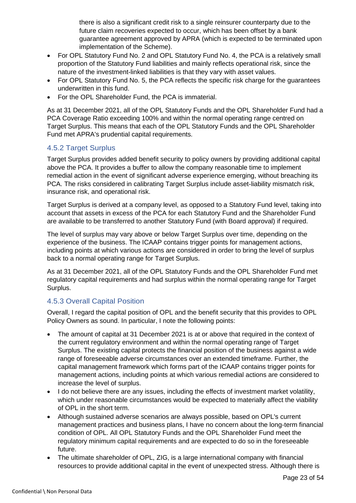there is also a significant credit risk to a single reinsurer counterparty due to the future claim recoveries expected to occur, which has been offset by a bank guarantee agreement approved by APRA (which is expected to be terminated upon implementation of the Scheme).

- For OPL Statutory Fund No. 2 and OPL Statutory Fund No. 4, the PCA is a relatively small proportion of the Statutory Fund liabilities and mainly reflects operational risk, since the nature of the investment-linked liabilities is that they vary with asset values.
- For OPL Statutory Fund No. 5, the PCA reflects the specific risk charge for the guarantees underwritten in this fund.
- For the OPL Shareholder Fund, the PCA is immaterial.

As at 31 December 2021, all of the OPL Statutory Funds and the OPL Shareholder Fund had a PCA Coverage Ratio exceeding 100% and within the normal operating range centred on Target Surplus. This means that each of the OPL Statutory Funds and the OPL Shareholder Fund met APRA's prudential capital requirements.

#### 4.5.2 Target Surplus

Target Surplus provides added benefit security to policy owners by providing additional capital above the PCA. It provides a buffer to allow the company reasonable time to implement remedial action in the event of significant adverse experience emerging, without breaching its PCA. The risks considered in calibrating Target Surplus include asset-liability mismatch risk, insurance risk, and operational risk.

Target Surplus is derived at a company level, as opposed to a Statutory Fund level, taking into account that assets in excess of the PCA for each Statutory Fund and the Shareholder Fund are available to be transferred to another Statutory Fund (with Board approval) if required.

The level of surplus may vary above or below Target Surplus over time, depending on the experience of the business. The ICAAP contains trigger points for management actions, including points at which various actions are considered in order to bring the level of surplus back to a normal operating range for Target Surplus.

As at 31 December 2021, all of the OPL Statutory Funds and the OPL Shareholder Fund met regulatory capital requirements and had surplus within the normal operating range for Target Surplus.

# 4.5.3 Overall Capital Position

Overall, I regard the capital position of OPL and the benefit security that this provides to OPL Policy Owners as sound. In particular, I note the following points:

- The amount of capital at 31 December 2021 is at or above that required in the context of the current regulatory environment and within the normal operating range of Target Surplus. The existing capital protects the financial position of the business against a wide range of foreseeable adverse circumstances over an extended timeframe. Further, the capital management framework which forms part of the ICAAP contains trigger points for management actions, including points at which various remedial actions are considered to increase the level of surplus.
- I do not believe there are any issues, including the effects of investment market volatility, which under reasonable circumstances would be expected to materially affect the viability of OPL in the short term.
- Although sustained adverse scenarios are always possible, based on OPL's current management practices and business plans, I have no concern about the long-term financial condition of OPL. All OPL Statutory Funds and the OPL Shareholder Fund meet the regulatory minimum capital requirements and are expected to do so in the foreseeable future.
- The ultimate shareholder of OPL, ZIG, is a large international company with financial resources to provide additional capital in the event of unexpected stress. Although there is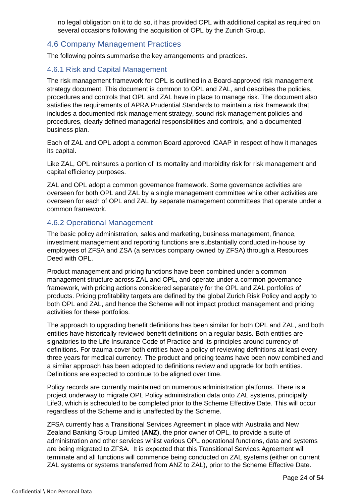no legal obligation on it to do so, it has provided OPL with additional capital as required on several occasions following the acquisition of OPL by the Zurich Group.

#### <span id="page-23-0"></span>4.6 Company Management Practices

The following points summarise the key arrangements and practices.

#### 4.6.1 Risk and Capital Management

The risk management framework for OPL is outlined in a Board-approved risk management strategy document. This document is common to OPL and ZAL, and describes the policies, procedures and controls that OPL and ZAL have in place to manage risk. The document also satisfies the requirements of APRA Prudential Standards to maintain a risk framework that includes a documented risk management strategy, sound risk management policies and procedures, clearly defined managerial responsibilities and controls, and a documented business plan.

Each of ZAL and OPL adopt a common Board approved lCAAP in respect of how it manages its capital.

Like ZAL, OPL reinsures a portion of its mortality and morbidity risk for risk management and capital efficiency purposes.

ZAL and OPL adopt a common governance framework. Some governance activities are overseen for both OPL and ZAL by a single management committee while other activities are overseen for each of OPL and ZAL by separate management committees that operate under a common framework.

#### 4.6.2 Operational Management

The basic policy administration, sales and marketing, business management, finance, investment management and reporting functions are substantially conducted in-house by employees of ZFSA and ZSA (a services company owned by ZFSA) through a Resources Deed with OPL.

Product management and pricing functions have been combined under a common management structure across ZAL and OPL, and operate under a common governance framework, with pricing actions considered separately for the OPL and ZAL portfolios of products. Pricing profitability targets are defined by the global Zurich Risk Policy and apply to both OPL and ZAL, and hence the Scheme will not impact product management and pricing activities for these portfolios.

The approach to upgrading benefit definitions has been similar for both OPL and ZAL, and both entities have historically reviewed benefit definitions on a regular basis. Both entities are signatories to the Life Insurance Code of Practice and its principles around currency of definitions. For trauma cover both entities have a policy of reviewing definitions at least every three years for medical currency. The product and pricing teams have been now combined and a similar approach has been adopted to definitions review and upgrade for both entities. Definitions are expected to continue to be aligned over time.

Policy records are currently maintained on numerous administration platforms. There is a project underway to migrate OPL Policy administration data onto ZAL systems, principally Life3, which is scheduled to be completed prior to the Scheme Effective Date. This will occur regardless of the Scheme and is unaffected by the Scheme.

ZFSA currently has a Transitional Services Agreement in place with Australia and New Zealand Banking Group Limited (**ANZ**), the prior owner of OPL, to provide a suite of administration and other services whilst various OPL operational functions, data and systems are being migrated to ZFSA. It is expected that this Transitional Services Agreement will terminate and all functions will commence being conducted on ZAL systems (either on current ZAL systems or systems transferred from ANZ to ZAL), prior to the Scheme Effective Date.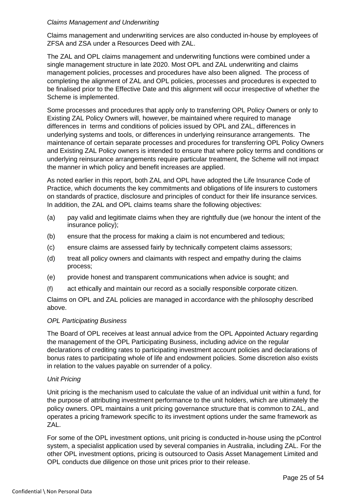#### *Claims Management and Underwriting*

Claims management and underwriting services are also conducted in-house by employees of ZFSA and ZSA under a Resources Deed with ZAL.

The ZAL and OPL claims management and underwriting functions were combined under a single management structure in late 2020. Most OPL and ZAL underwriting and claims management policies, processes and procedures have also been aligned. The process of completing the alignment of ZAL and OPL policies, processes and procedures is expected to be finalised prior to the Effective Date and this alignment will occur irrespective of whether the Scheme is implemented.

Some processes and procedures that apply only to transferring OPL Policy Owners or only to Existing ZAL Policy Owners will, however, be maintained where required to manage differences in terms and conditions of policies issued by OPL and ZAL, differences in underlying systems and tools, or differences in underlying reinsurance arrangements. The maintenance of certain separate processes and procedures for transferring OPL Policy Owners and Existing ZAL Policy owners is intended to ensure that where policy terms and conditions or underlying reinsurance arrangements require particular treatment, the Scheme will not impact the manner in which policy and benefit increases are applied.

As noted earlier in this report, both ZAL and OPL have adopted the Life Insurance Code of Practice, which documents the key commitments and obligations of life insurers to customers on standards of practice, disclosure and principles of conduct for their life insurance services. In addition, the ZAL and OPL claims teams share the following objectives:

- (a) pay valid and legitimate claims when they are rightfully due (we honour the intent of the insurance policy);
- (b) ensure that the process for making a claim is not encumbered and tedious;
- (c) ensure claims are assessed fairly by technically competent claims assessors;
- (d) treat all policy owners and claimants with respect and empathy during the claims process;
- (e) provide honest and transparent communications when advice is sought; and
- (f) act ethically and maintain our record as a socially responsible corporate citizen.

Claims on OPL and ZAL policies are managed in accordance with the philosophy described above.

#### *OPL Participating Business*

The Board of OPL receives at least annual advice from the OPL Appointed Actuary regarding the management of the OPL Participating Business, including advice on the regular declarations of crediting rates to participating investment account policies and declarations of bonus rates to participating whole of life and endowment policies. Some discretion also exists in relation to the values payable on surrender of a policy.

#### *Unit Pricing*

Unit pricing is the mechanism used to calculate the value of an individual unit within a fund, for the purpose of attributing investment performance to the unit holders, which are ultimately the policy owners. OPL maintains a unit pricing governance structure that is common to ZAL, and operates a pricing framework specific to its investment options under the same framework as ZAL.

For some of the OPL investment options, unit pricing is conducted in-house using the pControl system, a specialist application used by several companies in Australia, including ZAL. For the other OPL investment options, pricing is outsourced to Oasis Asset Management Limited and OPL conducts due diligence on those unit prices prior to their release.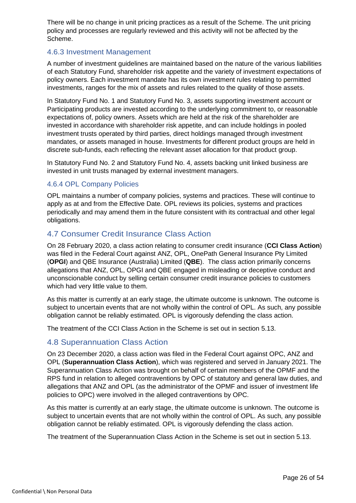There will be no change in unit pricing practices as a result of the Scheme. The unit pricing policy and processes are regularly reviewed and this activity will not be affected by the Scheme.

#### 4.6.3 Investment Management

A number of investment guidelines are maintained based on the nature of the various liabilities of each Statutory Fund, shareholder risk appetite and the variety of investment expectations of policy owners. Each investment mandate has its own investment rules relating to permitted investments, ranges for the mix of assets and rules related to the quality of those assets.

In Statutory Fund No. 1 and Statutory Fund No. 3, assets supporting investment account or Participating products are invested according to the underlying commitment to, or reasonable expectations of, policy owners. Assets which are held at the risk of the shareholder are invested in accordance with shareholder risk appetite, and can include holdings in pooled investment trusts operated by third parties, direct holdings managed through investment mandates, or assets managed in house. Investments for different product groups are held in discrete sub-funds, each reflecting the relevant asset allocation for that product group.

In Statutory Fund No. 2 and Statutory Fund No. 4, assets backing unit linked business are invested in unit trusts managed by external investment managers.

#### 4.6.4 OPL Company Policies

OPL maintains a number of company policies, systems and practices. These will continue to apply as at and from the Effective Date. OPL reviews its policies, systems and practices periodically and may amend them in the future consistent with its contractual and other legal obligations.

#### <span id="page-25-0"></span>4.7 Consumer Credit Insurance Class Action

On 28 February 2020, a class action relating to consumer credit insurance (**CCI Class Action**) was filed in the Federal Court against ANZ, OPL, OnePath General Insurance Pty Limited (**OPGI**) and QBE Insurance (Australia) Limited (**QBE**). The class action primarily concerns allegations that ANZ, OPL, OPGI and QBE engaged in misleading or deceptive conduct and unconscionable conduct by selling certain consumer credit insurance policies to customers which had very little value to them.

As this matter is currently at an early stage, the ultimate outcome is unknown. The outcome is subject to uncertain events that are not wholly within the control of OPL. As such, any possible obligation cannot be reliably estimated. OPL is vigorously defending the class action.

The treatment of the CCI Class Action in the Scheme is set out in section 5.13.

#### <span id="page-25-1"></span>4.8 Superannuation Class Action

On 23 December 2020, a class action was filed in the Federal Court against OPC, ANZ and OPL (**Superannuation Class Action**), which was registered and served in January 2021. The Superannuation Class Action was brought on behalf of certain members of the OPMF and the RPS fund in relation to alleged contraventions by OPC of statutory and general law duties, and allegations that ANZ and OPL (as the administrator of the OPMF and issuer of investment life policies to OPC) were involved in the alleged contraventions by OPC.

As this matter is currently at an early stage, the ultimate outcome is unknown. The outcome is subject to uncertain events that are not wholly within the control of OPL. As such, any possible obligation cannot be reliably estimated. OPL is vigorously defending the class action.

The treatment of the Superannuation Class Action in the Scheme is set out in section 5.13.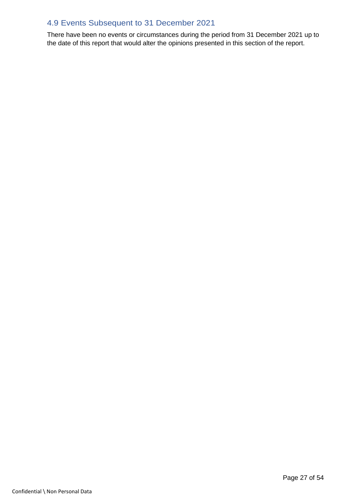# <span id="page-26-0"></span>4.9 Events Subsequent to 31 December 2021

There have been no events or circumstances during the period from 31 December 2021 up to the date of this report that would alter the opinions presented in this section of the report.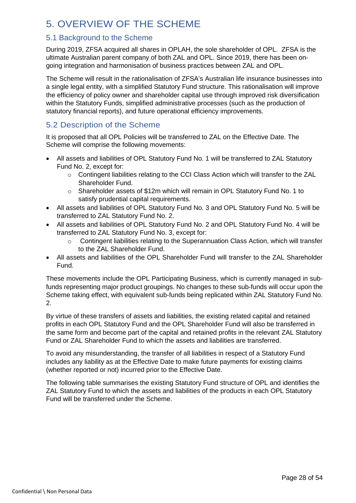# <span id="page-27-0"></span>5. OVERVIEW OF THE SCHEME

# <span id="page-27-1"></span>5.1 Background to the Scheme

During 2019, ZFSA acquired all shares in OPLAH, the sole shareholder of OPL. ZFSA is the ultimate Australian parent company of both ZAL and OPL. Since 2019, there has been ongoing integration and harmonisation of business practices between ZAL and OPL.

The Scheme will result in the rationalisation of ZFSA's Australian life insurance businesses into a single legal entity, with a simplified Statutory Fund structure. This rationalisation will improve the efficiency of policy owner and shareholder capital use through improved risk diversification within the Statutory Funds, simplified administrative processes (such as the production of statutory financial reports), and future operational efficiency improvements.

# <span id="page-27-2"></span>5.2 Description of the Scheme

It is proposed that all OPL Policies will be transferred to ZAL on the Effective Date. The Scheme will comprise the following movements:

- All assets and liabilities of OPL Statutory Fund No. 1 will be transferred to ZAL Statutory Fund No. 2, except for:
	- $\circ$  Contingent liabilities relating to the CCI Class Action which will transfer to the ZAL Shareholder Fund.
	- o Shareholder assets of \$12m which will remain in OPL Statutory Fund No. 1 to satisfy prudential capital requirements.
- All assets and liabilities of OPL Statutory Fund No. 3 and OPL Statutory Fund No. 5 will be transferred to ZAL Statutory Fund No. 2.
- All assets and liabilities of OPL Statutory Fund No. 2 and OPL Statutory Fund No. 4 will be transferred to ZAL Statutory Fund No. 3, except for:
	- $\circ$  Contingent liabilities relating to the Superannuation Class Action, which will transfer to the ZAL Shareholder Fund.
- All assets and liabilities of the OPL Shareholder Fund will transfer to the ZAL Shareholder Fund.

These movements include the OPL Participating Business, which is currently managed in subfunds representing major product groupings. No changes to these sub-funds will occur upon the Scheme taking effect, with equivalent sub-funds being replicated within ZAL Statutory Fund No. 2.

By virtue of these transfers of assets and liabilities, the existing related capital and retained profits in each OPL Statutory Fund and the OPL Shareholder Fund will also be transferred in the same form and become part of the capital and retained profits in the relevant ZAL Statutory Fund or ZAL Shareholder Fund to which the assets and liabilities are transferred.

To avoid any misunderstanding, the transfer of all liabilities in respect of a Statutory Fund includes any liability as at the Effective Date to make future payments for existing claims (whether reported or not) incurred prior to the Effective Date.

The following table summarises the existing Statutory Fund structure of OPL and identifies the ZAL Statutory Fund to which the assets and liabilities of the products in each OPL Statutory Fund will be transferred under the Scheme.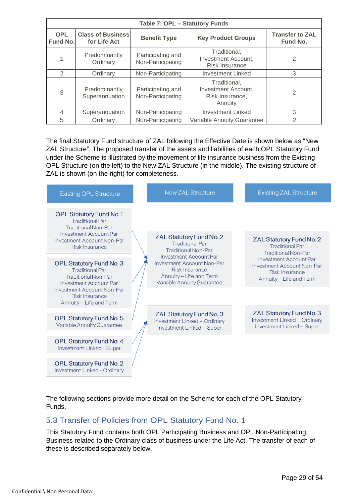| Table 7: OPL - Statutory Funds       |                                                                                                                                            |                                                                                                                    |                            |                                    |  |  |  |  |  |
|--------------------------------------|--------------------------------------------------------------------------------------------------------------------------------------------|--------------------------------------------------------------------------------------------------------------------|----------------------------|------------------------------------|--|--|--|--|--|
| <b>OPL</b><br>Fund No.               | <b>Class of Business</b><br>for Life Act                                                                                                   | <b>Key Product Groups</b><br><b>Benefit Type</b>                                                                   |                            | <b>Transfer to ZAL</b><br>Fund No. |  |  |  |  |  |
| 1                                    | Traditional.<br>Predominantly<br>Participating and<br><b>Investment Account,</b><br>Non-Participating<br>Ordinary<br><b>Risk Insurance</b> |                                                                                                                    | 2                          |                                    |  |  |  |  |  |
| $\mathfrak{D}$                       | Ordinary                                                                                                                                   | Non-Participating                                                                                                  | <b>Investment Linked</b>   | 3                                  |  |  |  |  |  |
| Predominantly<br>3<br>Superannuation |                                                                                                                                            | Traditional.<br>Participating and<br><b>Investment Account,</b><br>Non-Participating<br>Risk Insurance,<br>Annuity |                            | 2                                  |  |  |  |  |  |
| $\overline{4}$                       | Superannuation<br>Non-Participating                                                                                                        |                                                                                                                    | <b>Investment Linked</b>   | 3                                  |  |  |  |  |  |
| 5                                    | Ordinary                                                                                                                                   | Non-Participating                                                                                                  | Variable Annuity Guarantee | $\mathfrak{D}$                     |  |  |  |  |  |

The final Statutory Fund structure of ZAL following the Effective Date is shown below as "New ZAL Structure". The proposed transfer of the assets and liabilities of each OPL Statutory Fund under the Scheme is illustrated by the movement of life insurance business from the Existing OPL Structure (on the left) to the New ZAL Structure (in the middle). The existing structure of ZAL is shown (on the right) for completeness.

| <b>Existing OPL Structure</b>                                                                                            | <b>New ZAL Structure</b>                                                                                                               | <b>Existing ZAL Structure</b>                                                                            |
|--------------------------------------------------------------------------------------------------------------------------|----------------------------------------------------------------------------------------------------------------------------------------|----------------------------------------------------------------------------------------------------------|
| <b>OPL Statutory Fund No.1</b><br><b>Traditional Par</b><br><b>Traditional Non-Par</b>                                   |                                                                                                                                        |                                                                                                          |
| Investment Account Par<br>Investment Account Non-Par<br>Risk Insurance                                                   | ZAL Statutory Fund No. 2<br><b>Traditional Par</b><br><b>Traditional Non-Par</b>                                                       | ZAL Statutory Fund No. 2<br><b>Traditional Par</b><br><b>Traditional Non-Par</b>                         |
| <b>OPL Statutory Fund No. 3</b><br><b>Traditional Par</b><br><b>Traditional Non-Par</b><br><b>Investment Account Par</b> | <b>Investment Account Par</b><br>Investment Account Non-Par<br>Risk Insurance<br>Annuity - Life and Term<br>Variable Annuity Guarantee | <b>Investment Account Par</b><br>Investment Account Non-Par<br>Risk Insurance<br>Annuity - Life and Term |
| Investment Account Non-Par<br>Risk Insurance<br>Annuity - Life and Term                                                  |                                                                                                                                        |                                                                                                          |
| OPL Statutory Fund No. 5<br>Variable Annuity Guarantee                                                                   | ZAL Statutory Fund No. 3<br>Investment Linked - Ordinary<br>Investment Linked - Super                                                  | ZAL Statutory Fund No. 3<br>Investment Linked - Ordinary<br>Investment Linked - Super                    |
| <b>OPL Statutory Fund No. 4</b><br>Investment Linked - Super                                                             |                                                                                                                                        |                                                                                                          |
| <b>OPL Statutory Fund No. 2</b><br>Investment Linked - Ordinary                                                          |                                                                                                                                        |                                                                                                          |

The following sections provide more detail on the Scheme for each of the OPL Statutory Funds.

# <span id="page-28-0"></span>5.3 Transfer of Policies from OPL Statutory Fund No. 1

This Statutory Fund contains both OPL Participating Business and OPL Non-Participating Business related to the Ordinary class of business under the Life Act. The transfer of each of these is described separately below.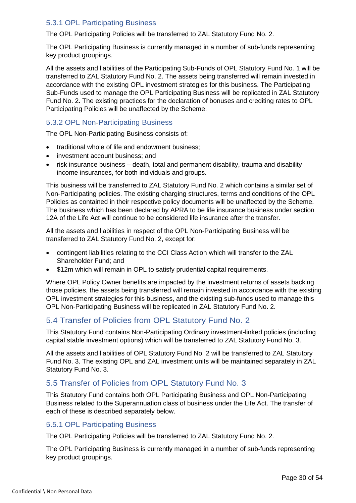#### 5.3.1 OPL Participating Business

The OPL Participating Policies will be transferred to ZAL Statutory Fund No. 2.

The OPL Participating Business is currently managed in a number of sub-funds representing key product groupings.

All the assets and liabilities of the Participating Sub-Funds of OPL Statutory Fund No. 1 will be transferred to ZAL Statutory Fund No. 2. The assets being transferred will remain invested in accordance with the existing OPL investment strategies for this business. The Participating Sub-Funds used to manage the OPL Participating Business will be replicated in ZAL Statutory Fund No. 2. The existing practices for the declaration of bonuses and crediting rates to OPL Participating Policies will be unaffected by the Scheme.

#### 5.3.2 OPL Non Participating Business

The OPL Non-Participating Business consists of:

- traditional whole of life and endowment business;
- investment account business; and
- risk insurance business death, total and permanent disability, trauma and disability income insurances, for both individuals and groups.

This business will be transferred to ZAL Statutory Fund No. 2 which contains a similar set of Non-Participating policies. The existing charging structures, terms and conditions of the OPL Policies as contained in their respective policy documents will be unaffected by the Scheme. The business which has been declared by APRA to be life insurance business under section 12A of the Life Act will continue to be considered life insurance after the transfer.

All the assets and liabilities in respect of the OPL Non-Participating Business will be transferred to ZAL Statutory Fund No. 2, except for:

- contingent liabilities relating to the CCI Class Action which will transfer to the ZAL Shareholder Fund; and
- \$12m which will remain in OPL to satisfy prudential capital requirements.

Where OPL Policy Owner benefits are impacted by the investment returns of assets backing those policies, the assets being transferred will remain invested in accordance with the existing OPL investment strategies for this business, and the existing sub-funds used to manage this OPL Non-Participating Business will be replicated in ZAL Statutory Fund No. 2.

# <span id="page-29-0"></span>5.4 Transfer of Policies from OPL Statutory Fund No. 2

This Statutory Fund contains Non-Participating Ordinary investment-linked policies (including capital stable investment options) which will be transferred to ZAL Statutory Fund No. 3.

All the assets and liabilities of OPL Statutory Fund No. 2 will be transferred to ZAL Statutory Fund No. 3. The existing OPL and ZAL investment units will be maintained separately in ZAL Statutory Fund No. 3.

# <span id="page-29-1"></span>5.5 Transfer of Policies from OPL Statutory Fund No. 3

This Statutory Fund contains both OPL Participating Business and OPL Non-Participating Business related to the Superannuation class of business under the Life Act. The transfer of each of these is described separately below.

#### 5.5.1 OPL Participating Business

The OPL Participating Policies will be transferred to ZAL Statutory Fund No. 2.

The OPL Participating Business is currently managed in a number of sub-funds representing key product groupings.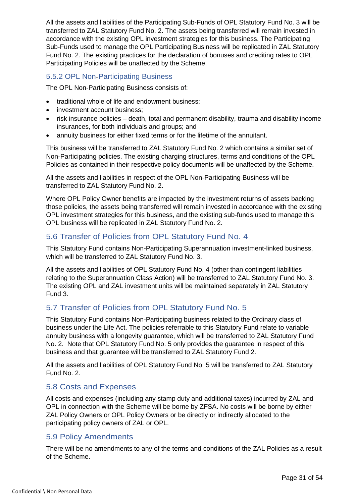All the assets and liabilities of the Participating Sub-Funds of OPL Statutory Fund No. 3 will be transferred to ZAL Statutory Fund No. 2. The assets being transferred will remain invested in accordance with the existing OPL investment strategies for this business. The Participating Sub-Funds used to manage the OPL Participating Business will be replicated in ZAL Statutory Fund No. 2. The existing practices for the declaration of bonuses and crediting rates to OPL Participating Policies will be unaffected by the Scheme.

#### 5.5.2 OPL Non Participating Business

The OPL Non-Participating Business consists of:

- traditional whole of life and endowment business;
- investment account business:
- risk insurance policies death, total and permanent disability, trauma and disability income insurances, for both individuals and groups; and
- annuity business for either fixed terms or for the lifetime of the annuitant.

This business will be transferred to ZAL Statutory Fund No. 2 which contains a similar set of Non-Participating policies. The existing charging structures, terms and conditions of the OPL Policies as contained in their respective policy documents will be unaffected by the Scheme.

All the assets and liabilities in respect of the OPL Non-Participating Business will be transferred to ZAL Statutory Fund No. 2.

Where OPL Policy Owner benefits are impacted by the investment returns of assets backing those policies, the assets being transferred will remain invested in accordance with the existing OPL investment strategies for this business, and the existing sub-funds used to manage this OPL business will be replicated in ZAL Statutory Fund No. 2.

#### <span id="page-30-0"></span>5.6 Transfer of Policies from OPL Statutory Fund No. 4

This Statutory Fund contains Non-Participating Superannuation investment-linked business, which will be transferred to ZAL Statutory Fund No. 3.

All the assets and liabilities of OPL Statutory Fund No. 4 (other than contingent liabilities relating to the Superannuation Class Action) will be transferred to ZAL Statutory Fund No. 3. The existing OPL and ZAL investment units will be maintained separately in ZAL Statutory Fund 3.

# <span id="page-30-1"></span>5.7 Transfer of Policies from OPL Statutory Fund No. 5

This Statutory Fund contains Non-Participating business related to the Ordinary class of business under the Life Act. The policies referrable to this Statutory Fund relate to variable annuity business with a longevity guarantee, which will be transferred to ZAL Statutory Fund No. 2. Note that OPL Statutory Fund No. 5 only provides the guarantee in respect of this business and that guarantee will be transferred to ZAL Statutory Fund 2.

All the assets and liabilities of OPL Statutory Fund No. 5 will be transferred to ZAL Statutory Fund No. 2.

#### <span id="page-30-2"></span>5.8 Costs and Expenses

All costs and expenses (including any stamp duty and additional taxes) incurred by ZAL and OPL in connection with the Scheme will be borne by ZFSA. No costs will be borne by either ZAL Policy Owners or OPL Policy Owners or be directly or indirectly allocated to the participating policy owners of ZAL or OPL.

#### <span id="page-30-3"></span>5.9 Policy Amendments

There will be no amendments to any of the terms and conditions of the ZAL Policies as a result of the Scheme.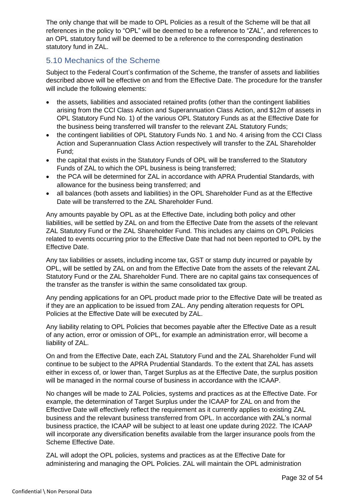The only change that will be made to OPL Policies as a result of the Scheme will be that all references in the policy to "OPL" will be deemed to be a reference to "ZAL", and references to an OPL statutory fund will be deemed to be a reference to the corresponding destination statutory fund in ZAL.

# <span id="page-31-0"></span>5.10 Mechanics of the Scheme

Subject to the Federal Court's confirmation of the Scheme, the transfer of assets and liabilities described above will be effective on and from the Effective Date. The procedure for the transfer will include the following elements:

- the assets, liabilities and associated retained profits (other than the contingent liabilities arising from the CCI Class Action and Superannuation Class Action, and \$12m of assets in OPL Statutory Fund No. 1) of the various OPL Statutory Funds as at the Effective Date for the business being transferred will transfer to the relevant ZAL Statutory Funds;
- the contingent liabilities of OPL Statutory Funds No. 1 and No. 4 arising from the CCI Class Action and Superannuation Class Action respectively will transfer to the ZAL Shareholder Fund;
- the capital that exists in the Statutory Funds of OPL will be transferred to the Statutory Funds of ZAL to which the OPL business is being transferred;
- the PCA will be determined for ZAL in accordance with APRA Prudential Standards, with allowance for the business being transferred; and
- all balances (both assets and liabilities) in the OPL Shareholder Fund as at the Effective Date will be transferred to the ZAL Shareholder Fund.

Any amounts payable by OPL as at the Effective Date, including both policy and other liabilities, will be settled by ZAL on and from the Effective Date from the assets of the relevant ZAL Statutory Fund or the ZAL Shareholder Fund. This includes any claims on OPL Policies related to events occurring prior to the Effective Date that had not been reported to OPL by the Effective Date.

Any tax liabilities or assets, including income tax, GST or stamp duty incurred or payable by OPL, will be settled by ZAL on and from the Effective Date from the assets of the relevant ZAL Statutory Fund or the ZAL Shareholder Fund. There are no capital gains tax consequences of the transfer as the transfer is within the same consolidated tax group.

Any pending applications for an OPL product made prior to the Effective Date will be treated as if they are an application to be issued from ZAL. Any pending alteration requests for OPL Policies at the Effective Date will be executed by ZAL.

Any liability relating to OPL Policies that becomes payable after the Effective Date as a result of any action, error or omission of OPL, for example an administration error, will become a liability of ZAL.

On and from the Effective Date, each ZAL Statutory Fund and the ZAL Shareholder Fund will continue to be subject to the APRA Prudential Standards. To the extent that ZAL has assets either in excess of, or lower than, Target Surplus as at the Effective Date, the surplus position will be managed in the normal course of business in accordance with the ICAAP.

No changes will be made to ZAL Policies, systems and practices as at the Effective Date. For example, the determination of Target Surplus under the ICAAP for ZAL on and from the Effective Date will effectively reflect the requirement as it currently applies to existing ZAL business and the relevant business transferred from OPL. In accordance with ZAL's normal business practice, the ICAAP will be subject to at least one update during 2022. The ICAAP will incorporate any diversification benefits available from the larger insurance pools from the Scheme Effective Date.

ZAL will adopt the OPL policies, systems and practices as at the Effective Date for administering and managing the OPL Policies. ZAL will maintain the OPL administration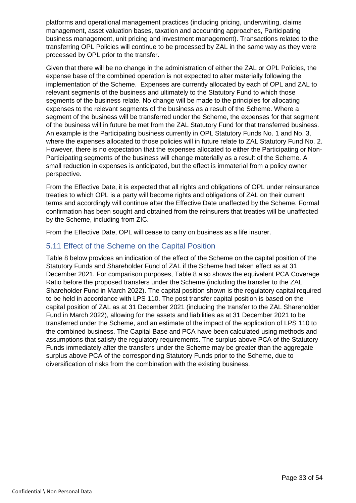platforms and operational management practices (including pricing, underwriting, claims management, asset valuation bases, taxation and accounting approaches, Participating business management, unit pricing and investment management). Transactions related to the transferring OPL Policies will continue to be processed by ZAL in the same way as they were processed by OPL prior to the transfer.

Given that there will be no change in the administration of either the ZAL or OPL Policies, the expense base of the combined operation is not expected to alter materially following the implementation of the Scheme. Expenses are currently allocated by each of OPL and ZAL to relevant segments of the business and ultimately to the Statutory Fund to which those segments of the business relate. No change will be made to the principles for allocating expenses to the relevant segments of the business as a result of the Scheme. Where a segment of the business will be transferred under the Scheme, the expenses for that segment of the business will in future be met from the ZAL Statutory Fund for that transferred business. An example is the Participating business currently in OPL Statutory Funds No. 1 and No. 3, where the expenses allocated to those policies will in future relate to ZAL Statutory Fund No. 2. However, there is no expectation that the expenses allocated to either the Participating or Non-Participating segments of the business will change materially as a result of the Scheme. A small reduction in expenses is anticipated, but the effect is immaterial from a policy owner perspective.

From the Effective Date, it is expected that all rights and obligations of OPL under reinsurance treaties to which OPL is a party will become rights and obligations of ZAL on their current terms and accordingly will continue after the Effective Date unaffected by the Scheme. Formal confirmation has been sought and obtained from the reinsurers that treaties will be unaffected by the Scheme, including from ZIC.

From the Effective Date, OPL will cease to carry on business as a life insurer.

#### <span id="page-32-0"></span>5.11 Effect of the Scheme on the Capital Position

Table 8 below provides an indication of the effect of the Scheme on the capital position of the Statutory Funds and Shareholder Fund of ZAL if the Scheme had taken effect as at 31 December 2021. For comparison purposes, Table 8 also shows the equivalent PCA Coverage Ratio before the proposed transfers under the Scheme (including the transfer to the ZAL Shareholder Fund in March 2022). The capital position shown is the regulatory capital required to be held in accordance with LPS 110. The post transfer capital position is based on the capital position of ZAL as at 31 December 2021 (including the transfer to the ZAL Shareholder Fund in March 2022), allowing for the assets and liabilities as at 31 December 2021 to be transferred under the Scheme, and an estimate of the impact of the application of LPS 110 to the combined business. The Capital Base and PCA have been calculated using methods and assumptions that satisfy the regulatory requirements. The surplus above PCA of the Statutory Funds immediately after the transfers under the Scheme may be greater than the aggregate surplus above PCA of the corresponding Statutory Funds prior to the Scheme, due to diversification of risks from the combination with the existing business.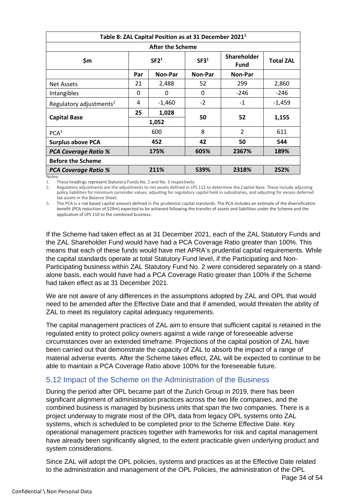| Table 8: ZAL Capital Position as at 31 December 2021 <sup>1</sup> |                  |                         |                  |                                   |                  |  |  |
|-------------------------------------------------------------------|------------------|-------------------------|------------------|-----------------------------------|------------------|--|--|
|                                                                   |                  | <b>After the Scheme</b> |                  |                                   |                  |  |  |
| \$m                                                               | SF2 <sup>1</sup> |                         | SF3 <sup>1</sup> | <b>Shareholder</b><br><b>Fund</b> | <b>Total ZAL</b> |  |  |
|                                                                   | Par              | Non-Par                 | Non-Par          | Non-Par                           |                  |  |  |
| <b>Net Assets</b>                                                 | 21               | 2,488                   | 52               | 299                               | 2,860            |  |  |
| Intangibles                                                       | 0                | 0                       | 0                | $-246$                            | -246             |  |  |
| Regulatory adjustments <sup>2</sup>                               | 4                | $-1,460$                | $-2$             | $-1$                              | $-1,459$         |  |  |
| <b>Capital Base</b>                                               | 25<br>1,028      |                         | 50               | 52                                | 1,155            |  |  |
|                                                                   | 1,052            |                         |                  |                                   |                  |  |  |
| PCA <sup>3</sup>                                                  |                  | 600                     | 8                | $\overline{2}$                    | 611              |  |  |
| <b>Surplus above PCA</b>                                          |                  | 452                     | 42               | 50                                | 544              |  |  |
| 175%<br><b>PCA Coverage Ratio %</b>                               |                  | 605%                    | 2367%            | 189%                              |                  |  |  |
| <b>Before the Scheme</b>                                          |                  |                         |                  |                                   |                  |  |  |
| <b>PCA Coverage Ratio %</b>                                       |                  | 211%                    | 539%             | 2318%                             | 252%             |  |  |
| Notes:                                                            |                  |                         |                  |                                   |                  |  |  |

1. These headings represent Statutory Funds No. 2 and No. 3 respectively.

2. Regulatory adjustments are the adjustments to net assets defined in LPS 112 to determine the Capital Base. These include adjusting policy liabilities for minimum surrender values, adjusting for regulatory capital held in subsidiaries, and adjusting for excess deferred tax assets in the Balance Sheet.

3. The PCA is a risk based capital amount defined in the prudential capital standards. The PCA includes an estimate of the diversification benefit (PCA reduction of \$29m) expected to be achieved following the transfer of assets and liabilities under the Scheme and the application of LPS 110 to the combined business.

If the Scheme had taken effect as at 31 December 2021, each of the ZAL Statutory Funds and the ZAL Shareholder Fund would have had a PCA Coverage Ratio greater than 100%. This means that each of these funds would have met APRA's prudential capital requirements. While the capital standards operate at total Statutory Fund level, if the Participating and Non-Participating business within ZAL Statutory Fund No. 2 were considered separately on a standalone basis, each would have had a PCA Coverage Ratio greater than 100% if the Scheme had taken effect as at 31 December 2021.

We are not aware of any differences in the assumptions adopted by ZAL and OPL that would need to be amended after the Effective Date and that if amended, would threaten the ability of ZAL to meet its regulatory capital adequacy requirements.

The capital management practices of ZAL aim to ensure that sufficient capital is retained in the regulated entity to protect policy owners against a wide range of foreseeable adverse circumstances over an extended timeframe. Projections of the capital position of ZAL have been carried out that demonstrate the capacity of ZAL to absorb the impact of a range of material adverse events. After the Scheme takes effect, ZAL will be expected to continue to be able to maintain a PCA Coverage Ratio above 100% for the foreseeable future.

# <span id="page-33-0"></span>5.12 Impact of the Scheme on the Administration of the Business

During the period after OPL became part of the Zurich Group in 2019, there has been significant alignment of administration practices across the two life companies, and the combined business is managed by business units that span the two companies. There is a project underway to migrate most of the OPL data from legacy OPL systems onto ZAL systems, which is scheduled to be completed prior to the Scheme Effective Date. Key operational management practices together with frameworks for risk and capital management have already been significantly aligned, to the extent practicable given underlying product and system considerations.

Since ZAL will adopt the OPL policies, systems and practices as at the Effective Date related to the administration and management of the OPL Policies, the administration of the OPL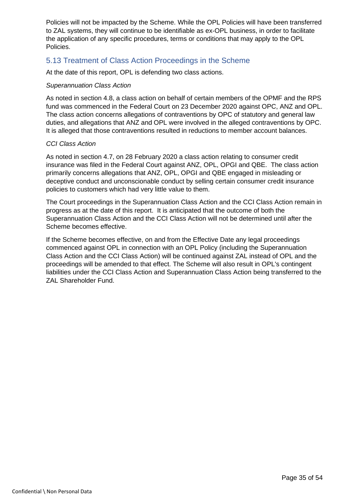Policies will not be impacted by the Scheme. While the OPL Policies will have been transferred to ZAL systems, they will continue to be identifiable as ex-OPL business, in order to facilitate the application of any specific procedures, terms or conditions that may apply to the OPL Policies.

# <span id="page-34-0"></span>5.13 Treatment of Class Action Proceedings in the Scheme

At the date of this report, OPL is defending two class actions.

#### *Superannuation Class Action*

As noted in section 4.8, a class action on behalf of certain members of the OPMF and the RPS fund was commenced in the Federal Court on 23 December 2020 against OPC, ANZ and OPL. The class action concerns allegations of contraventions by OPC of statutory and general law duties, and allegations that ANZ and OPL were involved in the alleged contraventions by OPC. It is alleged that those contraventions resulted in reductions to member account balances.

#### *CCI Class Action*

As noted in section 4.7, on 28 February 2020 a class action relating to consumer credit insurance was filed in the Federal Court against ANZ, OPL, OPGI and QBE. The class action primarily concerns allegations that ANZ, OPL, OPGI and QBE engaged in misleading or deceptive conduct and unconscionable conduct by selling certain consumer credit insurance policies to customers which had very little value to them.

The Court proceedings in the Superannuation Class Action and the CCI Class Action remain in progress as at the date of this report. It is anticipated that the outcome of both the Superannuation Class Action and the CCI Class Action will not be determined until after the Scheme becomes effective.

If the Scheme becomes effective, on and from the Effective Date any legal proceedings commenced against OPL in connection with an OPL Policy (including the Superannuation Class Action and the CCI Class Action) will be continued against ZAL instead of OPL and the proceedings will be amended to that effect. The Scheme will also result in OPL's contingent liabilities under the CCI Class Action and Superannuation Class Action being transferred to the ZAL Shareholder Fund.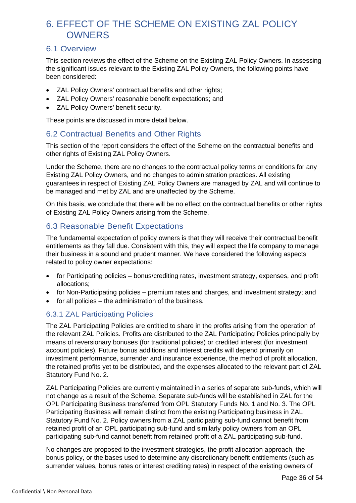# <span id="page-35-0"></span>6. EFFECT OF THE SCHEME ON EXISTING ZAL POLICY **OWNERS**

# <span id="page-35-1"></span>6.1 Overview

This section reviews the effect of the Scheme on the Existing ZAL Policy Owners. In assessing the significant issues relevant to the Existing ZAL Policy Owners, the following points have been considered:

- ZAL Policy Owners' contractual benefits and other rights;
- ZAL Policy Owners' reasonable benefit expectations; and
- ZAL Policy Owners' benefit security.

These points are discussed in more detail below.

# <span id="page-35-2"></span>6.2 Contractual Benefits and Other Rights

This section of the report considers the effect of the Scheme on the contractual benefits and other rights of Existing ZAL Policy Owners.

Under the Scheme, there are no changes to the contractual policy terms or conditions for any Existing ZAL Policy Owners, and no changes to administration practices. All existing guarantees in respect of Existing ZAL Policy Owners are managed by ZAL and will continue to be managed and met by ZAL and are unaffected by the Scheme.

On this basis, we conclude that there will be no effect on the contractual benefits or other rights of Existing ZAL Policy Owners arising from the Scheme.

# <span id="page-35-3"></span>6.3 Reasonable Benefit Expectations

The fundamental expectation of policy owners is that they will receive their contractual benefit entitlements as they fall due. Consistent with this, they will expect the life company to manage their business in a sound and prudent manner. We have considered the following aspects related to policy owner expectations:

- for Participating policies bonus/crediting rates, investment strategy, expenses, and profit allocations;
- for Non-Participating policies premium rates and charges, and investment strategy; and
- for all policies the administration of the business.

# 6.3.1 ZAL Participating Policies

The ZAL Participating Policies are entitled to share in the profits arising from the operation of the relevant ZAL Policies. Profits are distributed to the ZAL Participating Policies principally by means of reversionary bonuses (for traditional policies) or credited interest (for investment account policies). Future bonus additions and interest credits will depend primarily on investment performance, surrender and insurance experience, the method of profit allocation, the retained profits yet to be distributed, and the expenses allocated to the relevant part of ZAL Statutory Fund No. 2.

ZAL Participating Policies are currently maintained in a series of separate sub-funds, which will not change as a result of the Scheme. Separate sub-funds will be established in ZAL for the OPL Participating Business transferred from OPL Statutory Funds No. 1 and No. 3. The OPL Participating Business will remain distinct from the existing Participating business in ZAL Statutory Fund No. 2. Policy owners from a ZAL participating sub-fund cannot benefit from retained profit of an OPL participating sub-fund and similarly policy owners from an OPL participating sub-fund cannot benefit from retained profit of a ZAL participating sub-fund.

No changes are proposed to the investment strategies, the profit allocation approach, the bonus policy, or the bases used to determine any discretionary benefit entitlements (such as surrender values, bonus rates or interest crediting rates) in respect of the existing owners of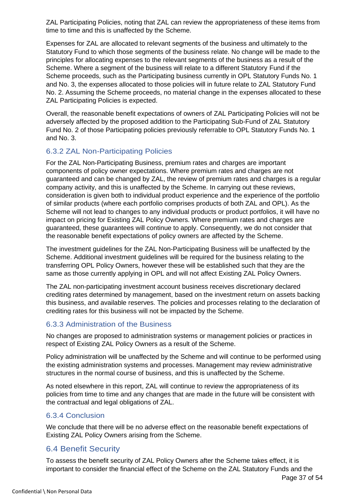ZAL Participating Policies, noting that ZAL can review the appropriateness of these items from time to time and this is unaffected by the Scheme.

Expenses for ZAL are allocated to relevant segments of the business and ultimately to the Statutory Fund to which those segments of the business relate. No change will be made to the principles for allocating expenses to the relevant segments of the business as a result of the Scheme. Where a segment of the business will relate to a different Statutory Fund if the Scheme proceeds, such as the Participating business currently in OPL Statutory Funds No. 1 and No. 3, the expenses allocated to those policies will in future relate to ZAL Statutory Fund No. 2. Assuming the Scheme proceeds, no material change in the expenses allocated to these ZAL Participating Policies is expected.

Overall, the reasonable benefit expectations of owners of ZAL Participating Policies will not be adversely affected by the proposed addition to the Participating Sub-Fund of ZAL Statutory Fund No. 2 of those Participating policies previously referrable to OPL Statutory Funds No. 1 and No. 3.

#### 6.3.2 ZAL Non-Participating Policies

For the ZAL Non-Participating Business, premium rates and charges are important components of policy owner expectations. Where premium rates and charges are not guaranteed and can be changed by ZAL, the review of premium rates and charges is a regular company activity, and this is unaffected by the Scheme. In carrying out these reviews, consideration is given both to individual product experience and the experience of the portfolio of similar products (where each portfolio comprises products of both ZAL and OPL). As the Scheme will not lead to changes to any individual products or product portfolios, it will have no impact on pricing for Existing ZAL Policy Owners. Where premium rates and charges are guaranteed, these guarantees will continue to apply. Consequently, we do not consider that the reasonable benefit expectations of policy owners are affected by the Scheme.

The investment guidelines for the ZAL Non-Participating Business will be unaffected by the Scheme. Additional investment guidelines will be required for the business relating to the transferring OPL Policy Owners, however these will be established such that they are the same as those currently applying in OPL and will not affect Existing ZAL Policy Owners.

The ZAL non-participating investment account business receives discretionary declared crediting rates determined by management, based on the investment return on assets backing this business, and available reserves. The policies and processes relating to the declaration of crediting rates for this business will not be impacted by the Scheme.

#### 6.3.3 Administration of the Business

No changes are proposed to administration systems or management policies or practices in respect of Existing ZAL Policy Owners as a result of the Scheme.

Policy administration will be unaffected by the Scheme and will continue to be performed using the existing administration systems and processes. Management may review administrative structures in the normal course of business, and this is unaffected by the Scheme.

As noted elsewhere in this report, ZAL will continue to review the appropriateness of its policies from time to time and any changes that are made in the future will be consistent with the contractual and legal obligations of ZAL.

#### 6.3.4 Conclusion

We conclude that there will be no adverse effect on the reasonable benefit expectations of Existing ZAL Policy Owners arising from the Scheme.

# <span id="page-36-0"></span>6.4 Benefit Security

To assess the benefit security of ZAL Policy Owners after the Scheme takes effect, it is important to consider the financial effect of the Scheme on the ZAL Statutory Funds and the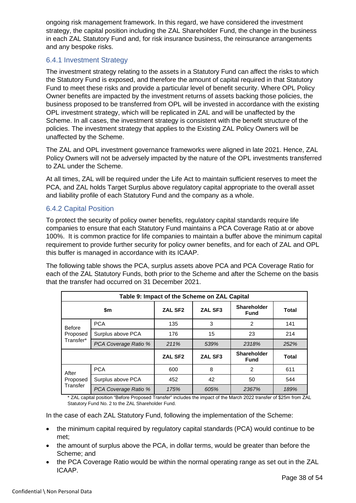ongoing risk management framework. In this regard, we have considered the investment strategy, the capital position including the ZAL Shareholder Fund, the change in the business in each ZAL Statutory Fund and, for risk insurance business, the reinsurance arrangements and any bespoke risks.

#### 6.4.1 Investment Strategy

The investment strategy relating to the assets in a Statutory Fund can affect the risks to which the Statutory Fund is exposed, and therefore the amount of capital required in that Statutory Fund to meet these risks and provide a particular level of benefit security. Where OPL Policy Owner benefits are impacted by the investment returns of assets backing those policies, the business proposed to be transferred from OPL will be invested in accordance with the existing OPL investment strategy, which will be replicated in ZAL and will be unaffected by the Scheme. In all cases, the investment strategy is consistent with the benefit structure of the policies. The investment strategy that applies to the Existing ZAL Policy Owners will be unaffected by the Scheme.

The ZAL and OPL investment governance frameworks were aligned in late 2021. Hence, ZAL Policy Owners will not be adversely impacted by the nature of the OPL investments transferred to ZAL under the Scheme.

At all times, ZAL will be required under the Life Act to maintain sufficient reserves to meet the PCA, and ZAL holds Target Surplus above regulatory capital appropriate to the overall asset and liability profile of each Statutory Fund and the company as a whole.

#### 6.4.2 Capital Position

To protect the security of policy owner benefits, regulatory capital standards require life companies to ensure that each Statutory Fund maintains a PCA Coverage Ratio at or above 100%. It is common practice for life companies to maintain a buffer above the minimum capital requirement to provide further security for policy owner benefits, and for each of ZAL and OPL this buffer is managed in accordance with its ICAAP.

The following table shows the PCA, surplus assets above PCA and PCA Coverage Ratio for each of the ZAL Statutory Funds, both prior to the Scheme and after the Scheme on the basis that the transfer had occurred on 31 December 2021.

| Table 9: Impact of the Scheme on ZAL Capital |                      |                     |                |                            |              |  |  |
|----------------------------------------------|----------------------|---------------------|----------------|----------------------------|--------------|--|--|
|                                              | \$m                  | ZAL SF <sub>2</sub> | <b>ZAL SF3</b> | Shareholder<br><b>Fund</b> | Total        |  |  |
| <b>Before</b><br>Proposed                    | <b>PCA</b>           | 135                 | 3              | 2                          | 141          |  |  |
|                                              | Surplus above PCA    | 176                 | 15             | 23                         | 214          |  |  |
| Transfer*                                    | PCA Coverage Ratio % | 211%                | 539%           | 2318%                      | 252%         |  |  |
|                                              |                      | ZAL SF <sub>2</sub> | ZAL SF3        | Shareholder<br><b>Fund</b> | <b>Total</b> |  |  |
| After                                        | <b>PCA</b>           | 600                 | 8              | 2                          | 611          |  |  |
| Proposed                                     | Surplus above PCA    | 452                 | 42             | 50                         | 544          |  |  |
| Transfer                                     | PCA Coverage Ratio % | 175%                | 605%           | 2367%                      | 189%         |  |  |

\* ZAL capital position "Before Proposed Transfer" includes the impact of the March 2022 transfer of \$25m from ZAL Statutory Fund No. 2 to the ZAL Shareholder Fund.

In the case of each ZAL Statutory Fund, following the implementation of the Scheme:

- the minimum capital required by regulatory capital standards (PCA) would continue to be met;
- the amount of surplus above the PCA, in dollar terms, would be greater than before the Scheme; and
- the PCA Coverage Ratio would be within the normal operating range as set out in the ZAL ICAAP.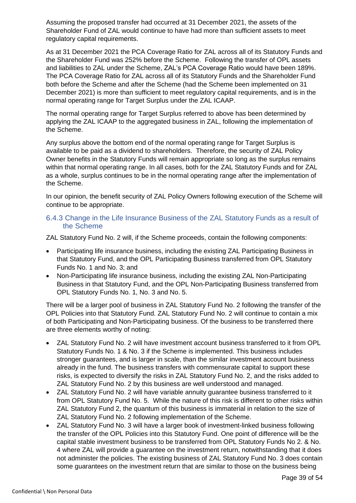Assuming the proposed transfer had occurred at 31 December 2021, the assets of the Shareholder Fund of ZAL would continue to have had more than sufficient assets to meet regulatory capital requirements.

As at 31 December 2021 the PCA Coverage Ratio for ZAL across all of its Statutory Funds and the Shareholder Fund was 252% before the Scheme. Following the transfer of OPL assets and liabilities to ZAL under the Scheme, ZAL's PCA Coverage Ratio would have been 189%. The PCA Coverage Ratio for ZAL across all of its Statutory Funds and the Shareholder Fund both before the Scheme and after the Scheme (had the Scheme been implemented on 31 December 2021) is more than sufficient to meet regulatory capital requirements, and is in the normal operating range for Target Surplus under the ZAL ICAAP.

The normal operating range for Target Surplus referred to above has been determined by applying the ZAL ICAAP to the aggregated business in ZAL, following the implementation of the Scheme.

Any surplus above the bottom end of the normal operating range for Target Surplus is available to be paid as a dividend to shareholders. Therefore, the security of ZAL Policy Owner benefits in the Statutory Funds will remain appropriate so long as the surplus remains within that normal operating range. In all cases, both for the ZAL Statutory Funds and for ZAL as a whole, surplus continues to be in the normal operating range after the implementation of the Scheme.

In our opinion, the benefit security of ZAL Policy Owners following execution of the Scheme will continue to be appropriate.

#### 6.4.3 Change in the Life Insurance Business of the ZAL Statutory Funds as a result of the Scheme

ZAL Statutory Fund No. 2 will, if the Scheme proceeds, contain the following components:

- Participating life insurance business, including the existing ZAL Participating Business in that Statutory Fund, and the OPL Participating Business transferred from OPL Statutory Funds No. 1 and No. 3; and
- Non-Participating life insurance business, including the existing ZAL Non-Participating Business in that Statutory Fund, and the OPL Non-Participating Business transferred from OPL Statutory Funds No. 1, No. 3 and No. 5.

There will be a larger pool of business in ZAL Statutory Fund No. 2 following the transfer of the OPL Policies into that Statutory Fund. ZAL Statutory Fund No. 2 will continue to contain a mix of both Participating and Non-Participating business. Of the business to be transferred there are three elements worthy of noting:

- ZAL Statutory Fund No. 2 will have investment account business transferred to it from OPL Statutory Funds No. 1 & No. 3 if the Scheme is implemented. This business includes stronger guarantees, and is larger in scale, than the similar investment account business already in the fund. The business transfers with commensurate capital to support these risks, is expected to diversify the risks in ZAL Statutory Fund No. 2, and the risks added to ZAL Statutory Fund No. 2 by this business are well understood and managed.
- ZAL Statutory Fund No. 2 will have variable annuity guarantee business transferred to it from OPL Statutory Fund No. 5. While the nature of this risk is different to other risks within ZAL Statutory Fund 2, the quantum of this business is immaterial in relation to the size of ZAL Statutory Fund No. 2 following implementation of the Scheme.
- ZAL Statutory Fund No. 3 will have a larger book of investment-linked business following the transfer of the OPL Policies into this Statutory Fund. One point of difference will be the capital stable investment business to be transferred from OPL Statutory Funds No 2. & No. 4 where ZAL will provide a guarantee on the investment return, notwithstanding that it does not administer the policies. The existing business of ZAL Statutory Fund No. 3 does contain some guarantees on the investment return that are similar to those on the business being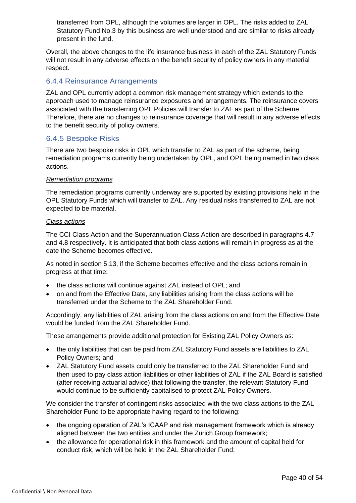transferred from OPL, although the volumes are larger in OPL. The risks added to ZAL Statutory Fund No.3 by this business are well understood and are similar to risks already present in the fund.

Overall, the above changes to the life insurance business in each of the ZAL Statutory Funds will not result in any adverse effects on the benefit security of policy owners in any material respect.

#### 6.4.4 Reinsurance Arrangements

ZAL and OPL currently adopt a common risk management strategy which extends to the approach used to manage reinsurance exposures and arrangements. The reinsurance covers associated with the transferring OPL Policies will transfer to ZAL as part of the Scheme. Therefore, there are no changes to reinsurance coverage that will result in any adverse effects to the benefit security of policy owners.

#### 6.4.5 Bespoke Risks

There are two bespoke risks in OPL which transfer to ZAL as part of the scheme, being remediation programs currently being undertaken by OPL, and OPL being named in two class actions.

#### *Remediation programs*

The remediation programs currently underway are supported by existing provisions held in the OPL Statutory Funds which will transfer to ZAL. Any residual risks transferred to ZAL are not expected to be material.

#### *Class actions*

The CCI Class Action and the Superannuation Class Action are described in paragraphs 4.7 and 4.8 respectively. It is anticipated that both class actions will remain in progress as at the date the Scheme becomes effective.

As noted in section 5.13, if the Scheme becomes effective and the class actions remain in progress at that time:

- the class actions will continue against ZAL instead of OPL; and
- on and from the Effective Date, any liabilities arising from the class actions will be transferred under the Scheme to the ZAL Shareholder Fund.

Accordingly, any liabilities of ZAL arising from the class actions on and from the Effective Date would be funded from the ZAL Shareholder Fund.

These arrangements provide additional protection for Existing ZAL Policy Owners as:

- the only liabilities that can be paid from ZAL Statutory Fund assets are liabilities to ZAL Policy Owners; and
- ZAL Statutory Fund assets could only be transferred to the ZAL Shareholder Fund and then used to pay class action liabilities or other liabilities of ZAL if the ZAL Board is satisfied (after receiving actuarial advice) that following the transfer, the relevant Statutory Fund would continue to be sufficiently capitalised to protect ZAL Policy Owners.

We consider the transfer of contingent risks associated with the two class actions to the ZAL Shareholder Fund to be appropriate having regard to the following:

- the ongoing operation of ZAL's ICAAP and risk management framework which is already aligned between the two entities and under the Zurich Group framework;
- the allowance for operational risk in this framework and the amount of capital held for conduct risk, which will be held in the ZAL Shareholder Fund;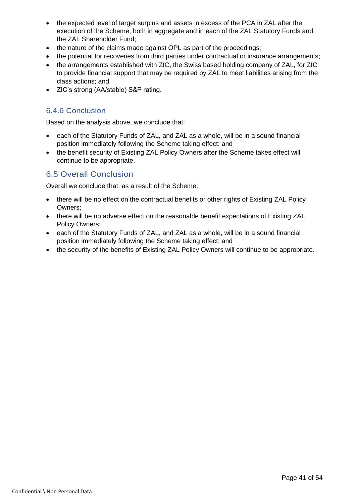- the expected level of target surplus and assets in excess of the PCA in ZAL after the execution of the Scheme, both in aggregate and in each of the ZAL Statutory Funds and the ZAL Shareholder Fund;
- the nature of the claims made against OPL as part of the proceedings;
- the potential for recoveries from third parties under contractual or insurance arrangements;
- the arrangements established with ZIC, the Swiss based holding company of ZAL, for ZIC to provide financial support that may be required by ZAL to meet liabilities arising from the class actions; and
- ZIC's strong (AA/stable) S&P rating.

#### 6.4.6 Conclusion

Based on the analysis above, we conclude that:

- each of the Statutory Funds of ZAL, and ZAL as a whole, will be in a sound financial position immediately following the Scheme taking effect; and
- the benefit security of Existing ZAL Policy Owners after the Scheme takes effect will continue to be appropriate.

# <span id="page-40-0"></span>6.5 Overall Conclusion

Overall we conclude that, as a result of the Scheme:

- there will be no effect on the contractual benefits or other rights of Existing ZAL Policy Owners;
- there will be no adverse effect on the reasonable benefit expectations of Existing ZAL Policy Owners;
- each of the Statutory Funds of ZAL, and ZAL as a whole, will be in a sound financial position immediately following the Scheme taking effect; and
- the security of the benefits of Existing ZAL Policy Owners will continue to be appropriate.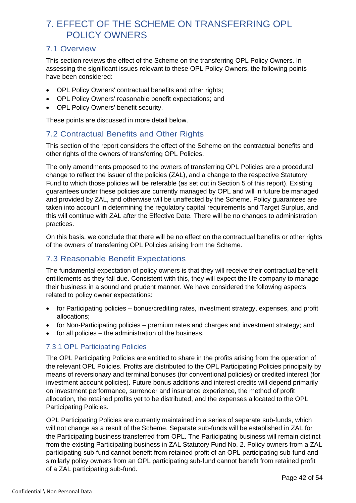# <span id="page-41-0"></span>7. EFFECT OF THE SCHEME ON TRANSFERRING OPL POLICY OWNERS

# <span id="page-41-1"></span>7.1 Overview

This section reviews the effect of the Scheme on the transferring OPL Policy Owners. In assessing the significant issues relevant to these OPL Policy Owners, the following points have been considered:

- OPL Policy Owners' contractual benefits and other rights;
- OPL Policy Owners' reasonable benefit expectations; and
- OPL Policy Owners' benefit security.

These points are discussed in more detail below.

# <span id="page-41-2"></span>7.2 Contractual Benefits and Other Rights

This section of the report considers the effect of the Scheme on the contractual benefits and other rights of the owners of transferring OPL Policies.

The only amendments proposed to the owners of transferring OPL Policies are a procedural change to reflect the issuer of the policies (ZAL), and a change to the respective Statutory Fund to which those policies will be referable (as set out in Section [5](#page-27-0) of this report). Existing guarantees under these policies are currently managed by OPL and will in future be managed and provided by ZAL, and otherwise will be unaffected by the Scheme. Policy guarantees are taken into account in determining the regulatory capital requirements and Target Surplus, and this will continue with ZAL after the Effective Date. There will be no changes to administration practices.

On this basis, we conclude that there will be no effect on the contractual benefits or other rights of the owners of transferring OPL Policies arising from the Scheme.

# <span id="page-41-3"></span>7.3 Reasonable Benefit Expectations

The fundamental expectation of policy owners is that they will receive their contractual benefit entitlements as they fall due. Consistent with this, they will expect the life company to manage their business in a sound and prudent manner. We have considered the following aspects related to policy owner expectations:

- for Participating policies bonus/crediting rates, investment strategy, expenses, and profit allocations;
- for Non-Participating policies premium rates and charges and investment strategy; and
- for all policies the administration of the business.

#### 7.3.1 OPL Participating Policies

The OPL Participating Policies are entitled to share in the profits arising from the operation of the relevant OPL Policies. Profits are distributed to the OPL Participating Policies principally by means of reversionary and terminal bonuses (for conventional policies) or credited interest (for investment account policies). Future bonus additions and interest credits will depend primarily on investment performance, surrender and insurance experience, the method of profit allocation, the retained profits yet to be distributed, and the expenses allocated to the OPL Participating Policies.

OPL Participating Policies are currently maintained in a series of separate sub-funds, which will not change as a result of the Scheme. Separate sub-funds will be established in ZAL for the Participating business transferred from OPL. The Participating business will remain distinct from the existing Participating business in ZAL Statutory Fund No. 2. Policy owners from a ZAL participating sub-fund cannot benefit from retained profit of an OPL participating sub-fund and similarly policy owners from an OPL participating sub-fund cannot benefit from retained profit of a ZAL participating sub-fund.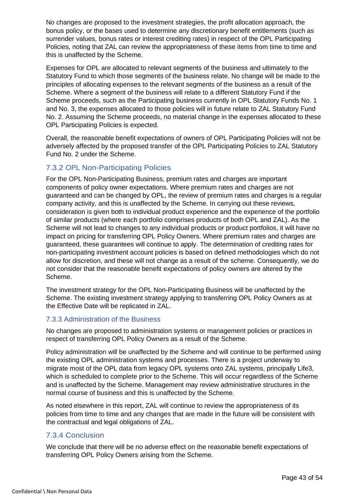No changes are proposed to the investment strategies, the profit allocation approach, the bonus policy, or the bases used to determine any discretionary benefit entitlements (such as surrender values, bonus rates or interest crediting rates) in respect of the OPL Participating Policies, noting that ZAL can review the appropriateness of these items from time to time and this is unaffected by the Scheme.

Expenses for OPL are allocated to relevant segments of the business and ultimately to the Statutory Fund to which those segments of the business relate. No change will be made to the principles of allocating expenses to the relevant segments of the business as a result of the Scheme. Where a segment of the business will relate to a different Statutory Fund if the Scheme proceeds, such as the Participating business currently in OPL Statutory Funds No. 1 and No. 3, the expenses allocated to those policies will in future relate to ZAL Statutory Fund No. 2. Assuming the Scheme proceeds, no material change in the expenses allocated to these OPL Participating Policies is expected.

Overall, the reasonable benefit expectations of owners of OPL Participating Policies will not be adversely affected by the proposed transfer of the OPL Participating Policies to ZAL Statutory Fund No. 2 under the Scheme.

#### 7.3.2 OPL Non-Participating Policies

For the OPL Non-Participating Business, premium rates and charges are important components of policy owner expectations. Where premium rates and charges are not guaranteed and can be changed by OPL, the review of premium rates and charges is a regular company activity, and this is unaffected by the Scheme. In carrying out these reviews, consideration is given both to individual product experience and the experience of the portfolio of similar products (where each portfolio comprises products of both OPL and ZAL). As the Scheme will not lead to changes to any individual products or product portfolios, it will have no impact on pricing for transferring OPL Policy Owners. Where premium rates and charges are guaranteed, these guarantees will continue to apply. The determination of crediting rates for non-participating investment account policies is based on defined methodologies which do not allow for discretion, and these will not change as a result of the scheme. Consequently, we do not consider that the reasonable benefit expectations of policy owners are altered by the Scheme.

The investment strategy for the OPL Non-Participating Business will be unaffected by the Scheme. The existing investment strategy applying to transferring OPL Policy Owners as at the Effective Date will be replicated in ZAL.

#### 7.3.3 Administration of the Business

No changes are proposed to administration systems or management policies or practices in respect of transferring OPL Policy Owners as a result of the Scheme.

Policy administration will be unaffected by the Scheme and will continue to be performed using the existing OPL administration systems and processes. There is a project underway to migrate most of the OPL data from legacy OPL systems onto ZAL systems, principally Life3, which is scheduled to complete prior to the Scheme. This will occur regardless of the Scheme and is unaffected by the Scheme. Management may review administrative structures in the normal course of business and this is unaffected by the Scheme.

As noted elsewhere in this report, ZAL will continue to review the appropriateness of its policies from time to time and any changes that are made in the future will be consistent with the contractual and legal obligations of ZAL.

#### 7.3.4 Conclusion

We conclude that there will be no adverse effect on the reasonable benefit expectations of transferring OPL Policy Owners arising from the Scheme.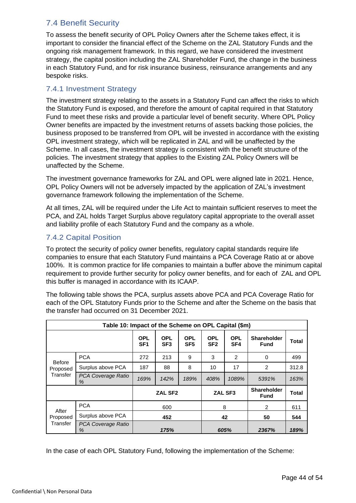# <span id="page-43-0"></span>7.4 Benefit Security

To assess the benefit security of OPL Policy Owners after the Scheme takes effect, it is important to consider the financial effect of the Scheme on the ZAL Statutory Funds and the ongoing risk management framework. In this regard, we have considered the investment strategy, the capital position including the ZAL Shareholder Fund, the change in the business in each Statutory Fund, and for risk insurance business, reinsurance arrangements and any bespoke risks.

# 7.4.1 Investment Strategy

The investment strategy relating to the assets in a Statutory Fund can affect the risks to which the Statutory Fund is exposed, and therefore the amount of capital required in that Statutory Fund to meet these risks and provide a particular level of benefit security. Where OPL Policy Owner benefits are impacted by the investment returns of assets backing those policies, the business proposed to be transferred from OPL will be invested in accordance with the existing OPL investment strategy, which will be replicated in ZAL and will be unaffected by the Scheme. In all cases, the investment strategy is consistent with the benefit structure of the policies. The investment strategy that applies to the Existing ZAL Policy Owners will be unaffected by the Scheme.

The investment governance frameworks for ZAL and OPL were aligned late in 2021. Hence, OPL Policy Owners will not be adversely impacted by the application of ZAL's investment governance framework following the implementation of the Scheme.

At all times, ZAL will be required under the Life Act to maintain sufficient reserves to meet the PCA, and ZAL holds Target Surplus above regulatory capital appropriate to the overall asset and liability profile of each Statutory Fund and the company as a whole.

# 7.4.2 Capital Position

To protect the security of policy owner benefits, regulatory capital standards require life companies to ensure that each Statutory Fund maintains a PCA Coverage Ratio at or above 100%. It is common practice for life companies to maintain a buffer above the minimum capital requirement to provide further security for policy owner benefits, and for each of ZAL and OPL this buffer is managed in accordance with its ICAAP.

The following table shows the PCA, surplus assets above PCA and PCA Coverage Ratio for each of the OPL Statutory Funds prior to the Scheme and after the Scheme on the basis that the transfer had occurred on 31 December 2021.

| Table 10: Impact of the Scheme on OPL Capital (\$m) |                         |                               |                               |                               |                               |                                   |                                   |              |
|-----------------------------------------------------|-------------------------|-------------------------------|-------------------------------|-------------------------------|-------------------------------|-----------------------------------|-----------------------------------|--------------|
|                                                     |                         | <b>OPL</b><br>SF <sub>1</sub> | <b>OPL</b><br>SF <sub>3</sub> | <b>OPL</b><br>SF <sub>5</sub> | <b>OPL</b><br>SF <sub>2</sub> | <b>OPL</b><br>SF <sub>4</sub>     | <b>Shareholder</b><br><b>Fund</b> | <b>Total</b> |
| <b>Before</b><br>Proposed<br>Transfer               | <b>PCA</b>              | 272                           | 213                           | 9                             | 3                             | 2                                 | $\Omega$                          | 499          |
|                                                     | Surplus above PCA       | 187                           | 88                            | 8                             | 10                            | 17                                | $\overline{2}$                    | 312.8        |
|                                                     | PCA Coverage Ratio<br>% | 169%                          | 142%                          | 189%                          | 408%                          | 1089%                             | 5391%                             | 163%         |
|                                                     |                         | ZAL SF <sub>2</sub>           |                               | ZAL SF3                       |                               | <b>Shareholder</b><br><b>Fund</b> | <b>Total</b>                      |              |
| After<br>Proposed<br>Transfer                       | <b>PCA</b>              | 600                           |                               |                               | 8                             |                                   | 2                                 | 611          |
|                                                     | Surplus above PCA       | 452                           |                               |                               | 42                            |                                   | 50                                | 544          |
|                                                     | PCA Coverage Ratio<br>% | 175%                          |                               |                               | 605%                          |                                   | 2367%                             | 189%         |

In the case of each OPL Statutory Fund, following the implementation of the Scheme: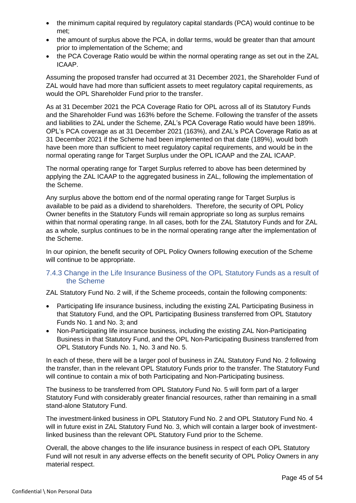- the minimum capital required by regulatory capital standards (PCA) would continue to be met;
- the amount of surplus above the PCA, in dollar terms, would be greater than that amount prior to implementation of the Scheme; and
- the PCA Coverage Ratio would be within the normal operating range as set out in the ZAL ICAAP.

Assuming the proposed transfer had occurred at 31 December 2021, the Shareholder Fund of ZAL would have had more than sufficient assets to meet regulatory capital requirements, as would the OPL Shareholder Fund prior to the transfer.

As at 31 December 2021 the PCA Coverage Ratio for OPL across all of its Statutory Funds and the Shareholder Fund was 163% before the Scheme. Following the transfer of the assets and liabilities to ZAL under the Scheme, ZAL's PCA Coverage Ratio would have been 189%. OPL's PCA coverage as at 31 December 2021 (163%), and ZAL's PCA Coverage Ratio as at 31 December 2021 if the Scheme had been implemented on that date (189%), would both have been more than sufficient to meet regulatory capital requirements, and would be in the normal operating range for Target Surplus under the OPL ICAAP and the ZAL ICAAP.

The normal operating range for Target Surplus referred to above has been determined by applying the ZAL ICAAP to the aggregated business in ZAL, following the implementation of the Scheme.

Any surplus above the bottom end of the normal operating range for Target Surplus is available to be paid as a dividend to shareholders. Therefore, the security of OPL Policy Owner benefits in the Statutory Funds will remain appropriate so long as surplus remains within that normal operating range. In all cases, both for the ZAL Statutory Funds and for ZAL as a whole, surplus continues to be in the normal operating range after the implementation of the Scheme.

In our opinion, the benefit security of OPL Policy Owners following execution of the Scheme will continue to be appropriate.

#### 7.4.3 Change in the Life Insurance Business of the OPL Statutory Funds as a result of the Scheme

ZAL Statutory Fund No. 2 will, if the Scheme proceeds, contain the following components:

- Participating life insurance business, including the existing ZAL Participating Business in that Statutory Fund, and the OPL Participating Business transferred from OPL Statutory Funds No. 1 and No. 3; and
- Non-Participating life insurance business, including the existing ZAL Non-Participating Business in that Statutory Fund, and the OPL Non-Participating Business transferred from OPL Statutory Funds No. 1, No. 3 and No. 5.

In each of these, there will be a larger pool of business in ZAL Statutory Fund No. 2 following the transfer, than in the relevant OPL Statutory Funds prior to the transfer. The Statutory Fund will continue to contain a mix of both Participating and Non-Participating business.

The business to be transferred from OPL Statutory Fund No. 5 will form part of a larger Statutory Fund with considerably greater financial resources, rather than remaining in a small stand-alone Statutory Fund.

The investment-linked business in OPL Statutory Fund No. 2 and OPL Statutory Fund No. 4 will in future exist in ZAL Statutory Fund No. 3, which will contain a larger book of investmentlinked business than the relevant OPL Statutory Fund prior to the Scheme.

Overall, the above changes to the life insurance business in respect of each OPL Statutory Fund will not result in any adverse effects on the benefit security of OPL Policy Owners in any material respect.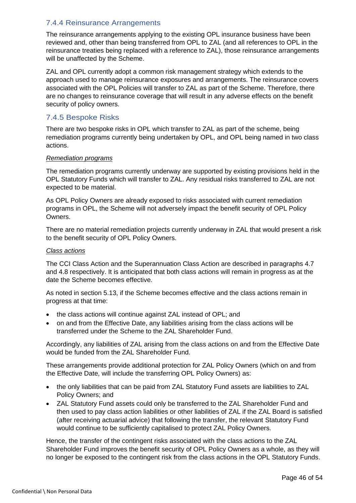#### 7.4.4 Reinsurance Arrangements

The reinsurance arrangements applying to the existing OPL insurance business have been reviewed and, other than being transferred from OPL to ZAL (and all references to OPL in the reinsurance treaties being replaced with a reference to ZAL), those reinsurance arrangements will be unaffected by the Scheme.

ZAL and OPL currently adopt a common risk management strategy which extends to the approach used to manage reinsurance exposures and arrangements. The reinsurance covers associated with the OPL Policies will transfer to ZAL as part of the Scheme. Therefore, there are no changes to reinsurance coverage that will result in any adverse effects on the benefit security of policy owners.

#### 7.4.5 Bespoke Risks

There are two bespoke risks in OPL which transfer to ZAL as part of the scheme, being remediation programs currently being undertaken by OPL, and OPL being named in two class actions.

#### *Remediation programs*

The remediation programs currently underway are supported by existing provisions held in the OPL Statutory Funds which will transfer to ZAL. Any residual risks transferred to ZAL are not expected to be material.

As OPL Policy Owners are already exposed to risks associated with current remediation programs in OPL, the Scheme will not adversely impact the benefit security of OPL Policy Owners.

There are no material remediation projects currently underway in ZAL that would present a risk to the benefit security of OPL Policy Owners.

#### *Class actions*

The CCI Class Action and the Superannuation Class Action are described in paragraphs 4.7 and 4.8 respectively. It is anticipated that both class actions will remain in progress as at the date the Scheme becomes effective.

As noted in section 5.13, if the Scheme becomes effective and the class actions remain in progress at that time:

- the class actions will continue against ZAL instead of OPL; and
- on and from the Effective Date, any liabilities arising from the class actions will be transferred under the Scheme to the ZAL Shareholder Fund.

Accordingly, any liabilities of ZAL arising from the class actions on and from the Effective Date would be funded from the ZAL Shareholder Fund.

These arrangements provide additional protection for ZAL Policy Owners (which on and from the Effective Date, will include the transferring OPL Policy Owners) as:

- the only liabilities that can be paid from ZAL Statutory Fund assets are liabilities to ZAL Policy Owners; and
- ZAL Statutory Fund assets could only be transferred to the ZAL Shareholder Fund and then used to pay class action liabilities or other liabilities of ZAL if the ZAL Board is satisfied (after receiving actuarial advice) that following the transfer, the relevant Statutory Fund would continue to be sufficiently capitalised to protect ZAL Policy Owners.

Hence, the transfer of the contingent risks associated with the class actions to the ZAL Shareholder Fund improves the benefit security of OPL Policy Owners as a whole, as they will no longer be exposed to the contingent risk from the class actions in the OPL Statutory Funds.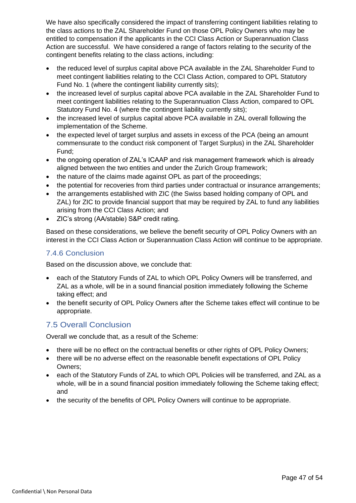We have also specifically considered the impact of transferring contingent liabilities relating to the class actions to the ZAL Shareholder Fund on those OPL Policy Owners who may be entitled to compensation if the applicants in the CCI Class Action or Superannuation Class Action are successful. We have considered a range of factors relating to the security of the contingent benefits relating to the class actions, including:

- the reduced level of surplus capital above PCA available in the ZAL Shareholder Fund to meet contingent liabilities relating to the CCI Class Action, compared to OPL Statutory Fund No. 1 (where the contingent liability currently sits);
- the increased level of surplus capital above PCA available in the ZAL Shareholder Fund to meet contingent liabilities relating to the Superannuation Class Action, compared to OPL Statutory Fund No. 4 (where the contingent liability currently sits);
- the increased level of surplus capital above PCA available in ZAL overall following the implementation of the Scheme.
- the expected level of target surplus and assets in excess of the PCA (being an amount commensurate to the conduct risk component of Target Surplus) in the ZAL Shareholder Fund;
- the ongoing operation of ZAL's ICAAP and risk management framework which is already aligned between the two entities and under the Zurich Group framework;
- the nature of the claims made against OPL as part of the proceedings;
- the potential for recoveries from third parties under contractual or insurance arrangements;
- the arrangements established with ZIC (the Swiss based holding company of OPL and ZAL) for ZIC to provide financial support that may be required by ZAL to fund any liabilities arising from the CCI Class Action; and
- ZIC's strong (AA/stable) S&P credit rating.

Based on these considerations, we believe the benefit security of OPL Policy Owners with an interest in the CCI Class Action or Superannuation Class Action will continue to be appropriate.

# 7.4.6 Conclusion

Based on the discussion above, we conclude that:

- each of the Statutory Funds of ZAL to which OPL Policy Owners will be transferred, and ZAL as a whole, will be in a sound financial position immediately following the Scheme taking effect; and
- the benefit security of OPL Policy Owners after the Scheme takes effect will continue to be appropriate.

# <span id="page-46-0"></span>7.5 Overall Conclusion

Overall we conclude that, as a result of the Scheme:

- there will be no effect on the contractual benefits or other rights of OPL Policy Owners;
- there will be no adverse effect on the reasonable benefit expectations of OPL Policy Owners;
- each of the Statutory Funds of ZAL to which OPL Policies will be transferred, and ZAL as a whole, will be in a sound financial position immediately following the Scheme taking effect; and
- the security of the benefits of OPL Policy Owners will continue to be appropriate.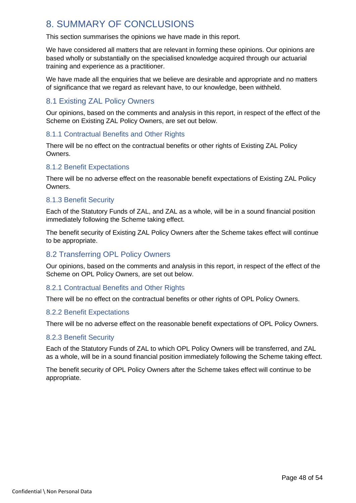# <span id="page-47-0"></span>8. SUMMARY OF CONCLUSIONS

This section summarises the opinions we have made in this report.

We have considered all matters that are relevant in forming these opinions. Our opinions are based wholly or substantially on the specialised knowledge acquired through our actuarial training and experience as a practitioner.

We have made all the enquiries that we believe are desirable and appropriate and no matters of significance that we regard as relevant have, to our knowledge, been withheld.

# <span id="page-47-1"></span>8.1 Existing ZAL Policy Owners

Our opinions, based on the comments and analysis in this report, in respect of the effect of the Scheme on Existing ZAL Policy Owners, are set out below.

#### 8.1.1 Contractual Benefits and Other Rights

There will be no effect on the contractual benefits or other rights of Existing ZAL Policy Owners.

#### 8.1.2 Benefit Expectations

There will be no adverse effect on the reasonable benefit expectations of Existing ZAL Policy Owners.

#### 8.1.3 Benefit Security

Each of the Statutory Funds of ZAL, and ZAL as a whole, will be in a sound financial position immediately following the Scheme taking effect.

The benefit security of Existing ZAL Policy Owners after the Scheme takes effect will continue to be appropriate.

# <span id="page-47-2"></span>8.2 Transferring OPL Policy Owners

Our opinions, based on the comments and analysis in this report, in respect of the effect of the Scheme on OPL Policy Owners, are set out below.

#### 8.2.1 Contractual Benefits and Other Rights

There will be no effect on the contractual benefits or other rights of OPL Policy Owners.

#### 8.2.2 Benefit Expectations

There will be no adverse effect on the reasonable benefit expectations of OPL Policy Owners.

#### 8.2.3 Benefit Security

Each of the Statutory Funds of ZAL to which OPL Policy Owners will be transferred, and ZAL as a whole, will be in a sound financial position immediately following the Scheme taking effect.

The benefit security of OPL Policy Owners after the Scheme takes effect will continue to be appropriate.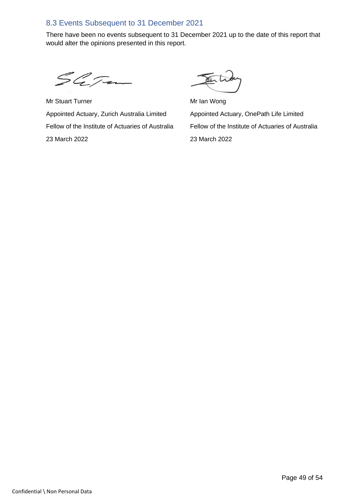# <span id="page-48-0"></span>8.3 Events Subsequent to 31 December 2021

There have been no events subsequent to 31 December 2021 up to the date of this report that would alter the opinions presented in this report.

SaJan

Mr Stuart Turner Mr Ian Wong Appointed Actuary, Zurich Australia Limited Appointed Actuary, OnePath Life Limited 23 March 2022 23 March 2022

Fellow of the Institute of Actuaries of Australia Fellow of the Institute of Actuaries of Australia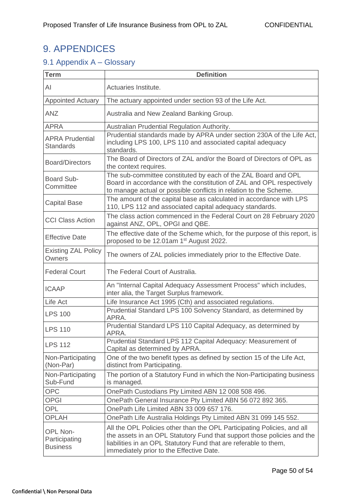# <span id="page-49-0"></span>9. APPENDICES

# <span id="page-49-1"></span>9.1 Appendix A – Glossary

| <b>Term</b>                                  | <b>Definition</b>                                                                                                                                                                                                                                                  |
|----------------------------------------------|--------------------------------------------------------------------------------------------------------------------------------------------------------------------------------------------------------------------------------------------------------------------|
| AI                                           | Actuaries Institute.                                                                                                                                                                                                                                               |
| <b>Appointed Actuary</b>                     | The actuary appointed under section 93 of the Life Act.                                                                                                                                                                                                            |
| <b>ANZ</b>                                   | Australia and New Zealand Banking Group.                                                                                                                                                                                                                           |
| <b>APRA</b>                                  | Australian Prudential Regulation Authority.                                                                                                                                                                                                                        |
| <b>APRA Prudential</b><br><b>Standards</b>   | Prudential standards made by APRA under section 230A of the Life Act,<br>including LPS 100, LPS 110 and associated capital adequacy<br>standards.                                                                                                                  |
| <b>Board/Directors</b>                       | The Board of Directors of ZAL and/or the Board of Directors of OPL as<br>the context requires.                                                                                                                                                                     |
| Board Sub-<br>Committee                      | The sub-committee constituted by each of the ZAL Board and OPL<br>Board in accordance with the constitution of ZAL and OPL respectively<br>to manage actual or possible conflicts in relation to the Scheme.                                                       |
| <b>Capital Base</b>                          | The amount of the capital base as calculated in accordance with LPS<br>110, LPS 112 and associated capital adequacy standards.                                                                                                                                     |
| <b>CCI Class Action</b>                      | The class action commenced in the Federal Court on 28 February 2020<br>against ANZ, OPL, OPGI and QBE.                                                                                                                                                             |
| <b>Effective Date</b>                        | The effective date of the Scheme which, for the purpose of this report, is<br>proposed to be 12.01am 1 <sup>st</sup> August 2022.                                                                                                                                  |
| <b>Existing ZAL Policy</b><br>Owners         | The owners of ZAL policies immediately prior to the Effective Date.                                                                                                                                                                                                |
| <b>Federal Court</b>                         | The Federal Court of Australia.                                                                                                                                                                                                                                    |
| <b>ICAAP</b>                                 | An "Internal Capital Adequacy Assessment Process" which includes,<br>inter alia, the Target Surplus framework.                                                                                                                                                     |
| Life Act                                     | Life Insurance Act 1995 (Cth) and associated regulations.                                                                                                                                                                                                          |
| <b>LPS 100</b>                               | Prudential Standard LPS 100 Solvency Standard, as determined by<br>APRA.                                                                                                                                                                                           |
| <b>LPS 110</b>                               | Prudential Standard LPS 110 Capital Adequacy, as determined by<br>APRA.                                                                                                                                                                                            |
| <b>LPS 112</b>                               | Prudential Standard LPS 112 Capital Adequacy: Measurement of<br>Capital as determined by APRA.                                                                                                                                                                     |
| Non-Participating<br>(Non-Par)               | One of the two benefit types as defined by section 15 of the Life Act,<br>distinct from Participating.                                                                                                                                                             |
| Non-Participating<br>Sub-Fund                | The portion of a Statutory Fund in which the Non-Participating business<br>is managed.                                                                                                                                                                             |
| <b>OPC</b>                                   | OnePath Custodians Pty Limited ABN 12 008 508 496.                                                                                                                                                                                                                 |
| <b>OPGI</b>                                  | OnePath General Insurance Pty Limited ABN 56 072 892 365.                                                                                                                                                                                                          |
| <b>OPL</b>                                   | OnePath Life Limited ABN 33 009 657 176.                                                                                                                                                                                                                           |
| <b>OPLAH</b>                                 | OnePath Life Australia Holdings Pty Limited ABN 31 099 145 552.                                                                                                                                                                                                    |
| OPL Non-<br>Participating<br><b>Business</b> | All the OPL Policies other than the OPL Participating Policies, and all<br>the assets in an OPL Statutory Fund that support those policies and the<br>liabilities in an OPL Statutory Fund that are referable to them,<br>immediately prior to the Effective Date. |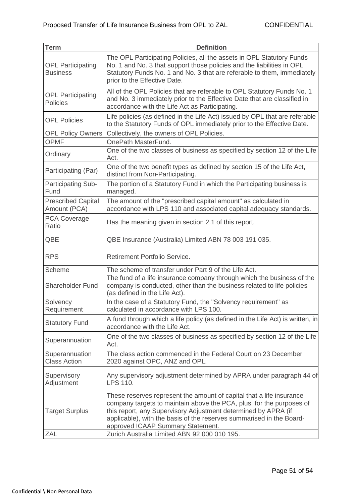| <b>Term</b>                                 | <b>Definition</b>                                                                                                                                                                                                                                                                                                           |
|---------------------------------------------|-----------------------------------------------------------------------------------------------------------------------------------------------------------------------------------------------------------------------------------------------------------------------------------------------------------------------------|
| <b>OPL Participating</b><br><b>Business</b> | The OPL Participating Policies, all the assets in OPL Statutory Funds<br>No. 1 and No. 3 that support those policies and the liabilities in OPL<br>Statutory Funds No. 1 and No. 3 that are referable to them, immediately<br>prior to the Effective Date.                                                                  |
| <b>OPL Participating</b><br><b>Policies</b> | All of the OPL Policies that are referable to OPL Statutory Funds No. 1<br>and No. 3 immediately prior to the Effective Date that are classified in<br>accordance with the Life Act as Participating.                                                                                                                       |
| <b>OPL Policies</b>                         | Life policies (as defined in the Life Act) issued by OPL that are referable<br>to the Statutory Funds of OPL immediately prior to the Effective Date.                                                                                                                                                                       |
| <b>OPL Policy Owners</b>                    | Collectively, the owners of OPL Policies.                                                                                                                                                                                                                                                                                   |
| <b>OPMF</b>                                 | OnePath MasterFund.                                                                                                                                                                                                                                                                                                         |
| Ordinary                                    | One of the two classes of business as specified by section 12 of the Life<br>Act.                                                                                                                                                                                                                                           |
| Participating (Par)                         | One of the two benefit types as defined by section 15 of the Life Act,<br>distinct from Non-Participating.                                                                                                                                                                                                                  |
| <b>Participating Sub-</b><br>Fund           | The portion of a Statutory Fund in which the Participating business is<br>managed.                                                                                                                                                                                                                                          |
| <b>Prescribed Capital</b><br>Amount (PCA)   | The amount of the "prescribed capital amount" as calculated in<br>accordance with LPS 110 and associated capital adequacy standards.                                                                                                                                                                                        |
| <b>PCA Coverage</b><br>Ratio                | Has the meaning given in section 2.1 of this report.                                                                                                                                                                                                                                                                        |
| QBE                                         | QBE Insurance (Australia) Limited ABN 78 003 191 035.                                                                                                                                                                                                                                                                       |
| <b>RPS</b>                                  | Retirement Portfolio Service.                                                                                                                                                                                                                                                                                               |
| Scheme                                      | The scheme of transfer under Part 9 of the Life Act.                                                                                                                                                                                                                                                                        |
| <b>Shareholder Fund</b>                     | The fund of a life insurance company through which the business of the<br>company is conducted, other than the business related to life policies<br>(as defined in the Life Act).                                                                                                                                           |
| Solvency<br>Requirement                     | In the case of a Statutory Fund, the "Solvency requirement" as<br>calculated in accordance with LPS 100.                                                                                                                                                                                                                    |
| <b>Statutory Fund</b>                       | A fund through which a life policy (as defined in the Life Act) is written, in<br>accordance with the Life Act.                                                                                                                                                                                                             |
| Superannuation                              | One of the two classes of business as specified by section 12 of the Life<br>Act.                                                                                                                                                                                                                                           |
| Superannuation<br><b>Class Action</b>       | The class action commenced in the Federal Court on 23 December<br>2020 against OPC, ANZ and OPL.                                                                                                                                                                                                                            |
| Supervisory<br>Adjustment                   | Any supervisory adjustment determined by APRA under paragraph 44 of<br>LPS 110.                                                                                                                                                                                                                                             |
| <b>Target Surplus</b>                       | These reserves represent the amount of capital that a life insurance<br>company targets to maintain above the PCA, plus, for the purposes of<br>this report, any Supervisory Adjustment determined by APRA (if<br>applicable), with the basis of the reserves summarised in the Board-<br>approved ICAAP Summary Statement. |
| <b>ZAL</b>                                  | Zurich Australia Limited ABN 92 000 010 195.                                                                                                                                                                                                                                                                                |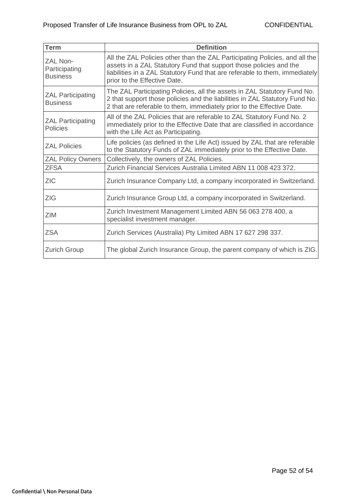| <b>Term</b>                                         | <b>Definition</b>                                                                                                                                                                                                                                                |
|-----------------------------------------------------|------------------------------------------------------------------------------------------------------------------------------------------------------------------------------------------------------------------------------------------------------------------|
| <b>ZAL Non-</b><br>Participating<br><b>Business</b> | All the ZAL Policies other than the ZAL Participating Policies, and all the<br>assets in a ZAL Statutory Fund that support those policies and the<br>liabilities in a ZAL Statutory Fund that are referable to them, immediately<br>prior to the Effective Date. |
| <b>ZAL Participating</b><br><b>Business</b>         | The ZAL Participating Policies, all the assets in ZAL Statutory Fund No.<br>2 that support those policies and the liabilities in ZAL Statutory Fund No.<br>2 that are referable to them, immediately prior to the Effective Date.                                |
| <b>ZAL Participating</b><br><b>Policies</b>         | All of the ZAL Policies that are referable to ZAL Statutory Fund No. 2<br>immediately prior to the Effective Date that are classified in accordance<br>with the Life Act as Participating.                                                                       |
| <b>ZAL Policies</b>                                 | Life policies (as defined in the Life Act) issued by ZAL that are referable<br>to the Statutory Funds of ZAL immediately prior to the Effective Date.                                                                                                            |
| <b>ZAL Policy Owners</b>                            | Collectively, the owners of ZAL Policies.                                                                                                                                                                                                                        |
| <b>ZFSA</b>                                         | Zurich Financial Services Australia Limited ABN 11 008 423 372.                                                                                                                                                                                                  |
| <b>ZIC</b>                                          | Zurich Insurance Company Ltd, a company incorporated in Switzerland.                                                                                                                                                                                             |
| <b>ZIG</b>                                          | Zurich Insurance Group Ltd, a company incorporated in Switzerland.                                                                                                                                                                                               |
| <b>ZIM</b>                                          | Zurich Investment Management Limited ABN 56 063 278 400, a<br>specialist investment manager.                                                                                                                                                                     |
| <b>ZSA</b>                                          | Zurich Services (Australia) Pty Limited ABN 17 627 298 337.                                                                                                                                                                                                      |
| <b>Zurich Group</b>                                 | The global Zurich Insurance Group, the parent company of which is ZIG.                                                                                                                                                                                           |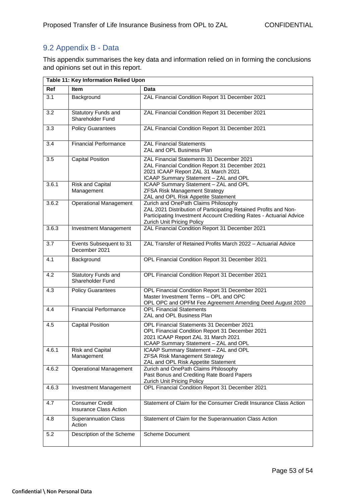# <span id="page-52-0"></span>9.2 Appendix B - Data

This appendix summarises the key data and information relied on in forming the conclusions and opinions set out in this report.

|       | Table 11: Key Information Relied Upon            |                                                                                                                                                                                                               |
|-------|--------------------------------------------------|---------------------------------------------------------------------------------------------------------------------------------------------------------------------------------------------------------------|
| Ref   | <b>Item</b>                                      | Data                                                                                                                                                                                                          |
| 3.1   | Background                                       | ZAL Financial Condition Report 31 December 2021                                                                                                                                                               |
| 3.2   | Statutory Funds and<br>Shareholder Fund          | ZAL Financial Condition Report 31 December 2021                                                                                                                                                               |
| 3.3   | <b>Policy Guarantees</b>                         | ZAL Financial Condition Report 31 December 2021                                                                                                                                                               |
| 3.4   | Financial Performance                            | <b>ZAL Financial Statements</b><br>ZAL and OPL Business Plan                                                                                                                                                  |
| 3.5   | <b>Capital Position</b>                          | ZAL Financial Statements 31 December 2021<br>ZAL Financial Condition Report 31 December 2021<br>2021 ICAAP Report ZAL 31 March 2021<br>ICAAP Summary Statement - ZAL and OPL                                  |
| 3.6.1 | <b>Risk and Capital</b><br>Management            | ICAAP Summary Statement - ZAL and OPL<br><b>ZFSA Risk Management Strategy</b><br>ZAL and OPL Risk Appetite Statement                                                                                          |
| 3.6.2 | Operational Management                           | Zurich and OnePath Claims Philosophy<br>ZAL 2021 Distribution of Participating Retained Profits and Non-<br>Participating Investment Account Crediting Rates - Actuarial Advice<br>Zurich Unit Pricing Policy |
| 3.6.3 | Investment Management                            | ZAL Financial Condition Report 31 December 2021                                                                                                                                                               |
| 3.7   | Events Subsequent to 31<br>December 2021         | ZAL Transfer of Retained Profits March 2022 - Actuarial Advice                                                                                                                                                |
| 4.1   | Background                                       | OPL Financial Condition Report 31 December 2021                                                                                                                                                               |
| 4.2   | Statutory Funds and<br>Shareholder Fund          | OPL Financial Condition Report 31 December 2021                                                                                                                                                               |
| 4.3   | <b>Policy Guarantees</b>                         | OPL Financial Condition Report 31 December 2021<br>Master Investment Terms - OPL and OPC<br>OPL OPC and OPFM Fee Agreement Amending Deed August 2020                                                          |
| 4.4   | <b>Financial Performance</b>                     | <b>OPL</b> Financial Statements<br>ZAL and OPL Business Plan                                                                                                                                                  |
| 4.5   | <b>Capital Position</b>                          | OPL Financial Statements 31 December 2021<br>OPL Financial Condition Report 31 December 2021<br>2021 ICAAP Report ZAL 31 March 2021<br>ICAAP Summary Statement - ZAL and OPL                                  |
| 4.6.1 | <b>Risk and Capital</b><br>Management            | ICAAP Summary Statement - ZAL and OPL<br><b>ZFSA Risk Management Strategy</b><br>ZAL and OPL Risk Appetite Statement                                                                                          |
| 4.6.2 | <b>Operational Management</b>                    | Zurich and OnePath Claims Philosophy<br>Past Bonus and Crediting Rate Board Papers<br>Zurich Unit Pricing Policy                                                                                              |
| 4.6.3 | Investment Management                            | OPL Financial Condition Report 31 December 2021                                                                                                                                                               |
| 4.7   | <b>Consumer Credit</b><br>Insurance Class Action | Statement of Claim for the Consumer Credit Insurance Class Action                                                                                                                                             |
| 4.8   | <b>Superannuation Class</b><br>Action            | Statement of Claim for the Superannuation Class Action                                                                                                                                                        |
| 5.2   | Description of the Scheme                        | <b>Scheme Document</b>                                                                                                                                                                                        |